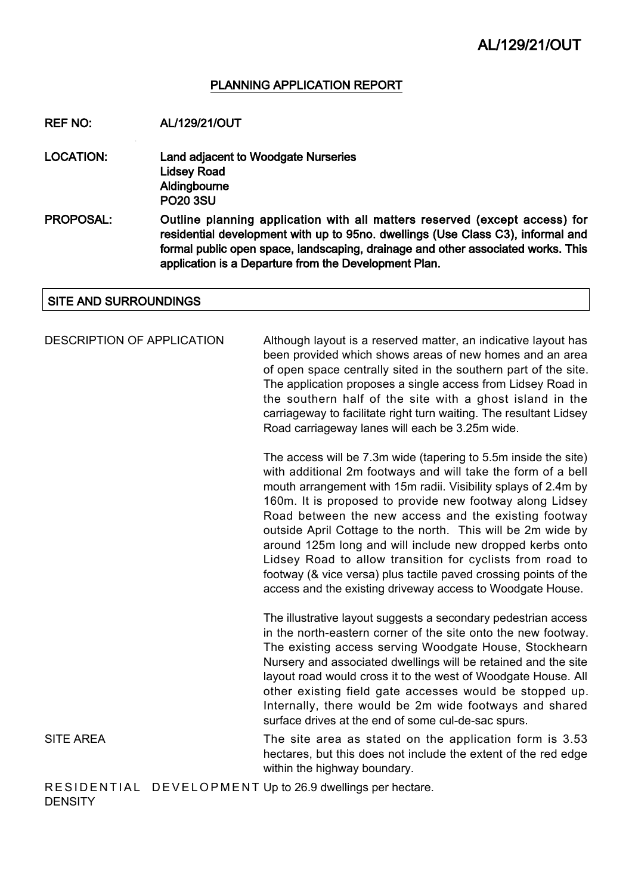#### PLANNING APPLICATION REPORT

REF NO: AL/129/21/OUT

LOCATION: Land adjacent to Woodgate Nurseries Lidsey Road **Aldingbourne** PO20 3SU

PROPOSAL: Outline planning application with all matters reserved (except access) for residential development with up to 95no. dwellings (Use Class C3), informal and formal public open space, landscaping, drainage and other associated works. This application is a Departure from the Development Plan.

#### SITE AND SURROUNDINGS

DESCRIPTION OF APPLICATION Although layout is a reserved matter, an indicative layout has been provided which shows areas of new homes and an area of open space centrally sited in the southern part of the site. The application proposes a single access from Lidsey Road in the southern half of the site with a ghost island in the carriageway to facilitate right turn waiting. The resultant Lidsey Road carriageway lanes will each be 3.25m wide.

> The access will be 7.3m wide (tapering to 5.5m inside the site) with additional 2m footways and will take the form of a bell mouth arrangement with 15m radii. Visibility splays of 2.4m by 160m. It is proposed to provide new footway along Lidsey Road between the new access and the existing footway outside April Cottage to the north. This will be 2m wide by around 125m long and will include new dropped kerbs onto Lidsey Road to allow transition for cyclists from road to footway (& vice versa) plus tactile paved crossing points of the access and the existing driveway access to Woodgate House.

> The illustrative layout suggests a secondary pedestrian access in the north-eastern corner of the site onto the new footway. The existing access serving Woodgate House, Stockhearn Nursery and associated dwellings will be retained and the site layout road would cross it to the west of Woodgate House. All other existing field gate accesses would be stopped up. Internally, there would be 2m wide footways and shared surface drives at the end of some cul-de-sac spurs.

SITE AREA The site area as stated on the application form is 3.53 hectares, but this does not include the extent of the red edge within the highway boundary.

RESIDENTIAL DEVELOPMENT Up to 26.9 dwellings per hectare. **DENSITY**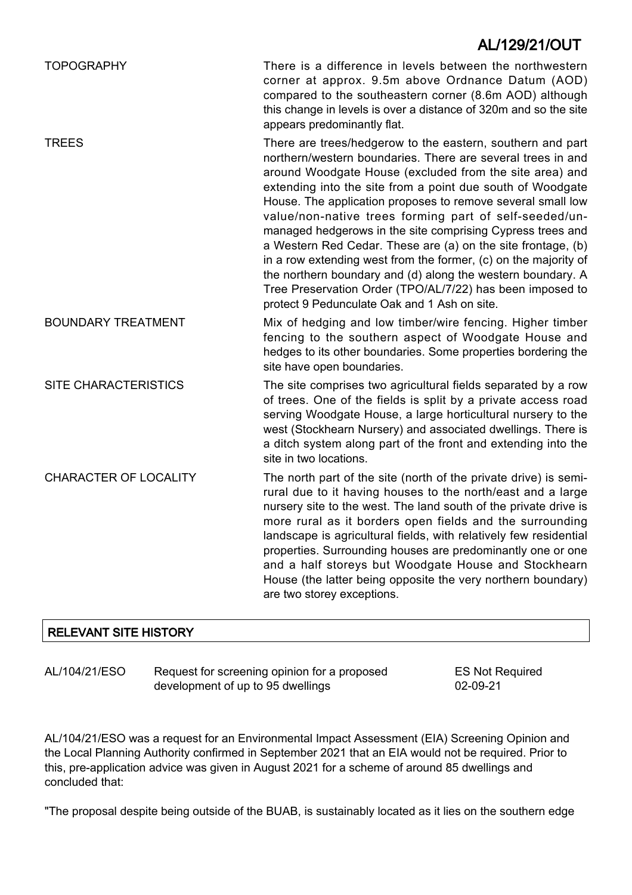### TOPOGRAPHY There is a difference in levels between the northwestern corner at approx. 9.5m above Ordnance Datum (AOD) compared to the southeastern corner (8.6m AOD) although this change in levels is over a distance of 320m and so the site appears predominantly flat. TREES There are trees/hedgerow to the eastern, southern and part northern/western boundaries. There are several trees in and around Woodgate House (excluded from the site area) and extending into the site from a point due south of Woodgate House. The application proposes to remove several small low value/non-native trees forming part of self-seeded/unmanaged hedgerows in the site comprising Cypress trees and a Western Red Cedar. These are (a) on the site frontage, (b) in a row extending west from the former, (c) on the majority of the northern boundary and (d) along the western boundary. A Tree Preservation Order (TPO/AL/7/22) has been imposed to protect 9 Pedunculate Oak and 1 Ash on site. BOUNDARY TREATMENT Mix of hedging and low timber/wire fencing. Higher timber fencing to the southern aspect of Woodgate House and hedges to its other boundaries. Some properties bordering the site have open boundaries. SITE CHARACTERISTICS The site comprises two agricultural fields separated by a row of trees. One of the fields is split by a private access road serving Woodgate House, a large horticultural nursery to the west (Stockhearn Nursery) and associated dwellings. There is a ditch system along part of the front and extending into the site in two locations. CHARACTER OF LOCALITY The north part of the site (north of the private drive) is semirural due to it having houses to the north/east and a large nursery site to the west. The land south of the private drive is more rural as it borders open fields and the surrounding landscape is agricultural fields, with relatively few residential properties. Surrounding houses are predominantly one or one and a half storeys but Woodgate House and Stockhearn House (the latter being opposite the very northern boundary) are two storey exceptions. AL/129/21/OUT

### RELEVANT SITE HISTORY

AL/104/21/ESO Request for screening opinion for a proposed development of up to 95 dwellings

ES Not Required 02-09-21

AL/104/21/ESO was a request for an Environmental Impact Assessment (EIA) Screening Opinion and the Local Planning Authority confirmed in September 2021 that an EIA would not be required. Prior to this, pre-application advice was given in August 2021 for a scheme of around 85 dwellings and concluded that:

"The proposal despite being outside of the BUAB, is sustainably located as it lies on the southern edge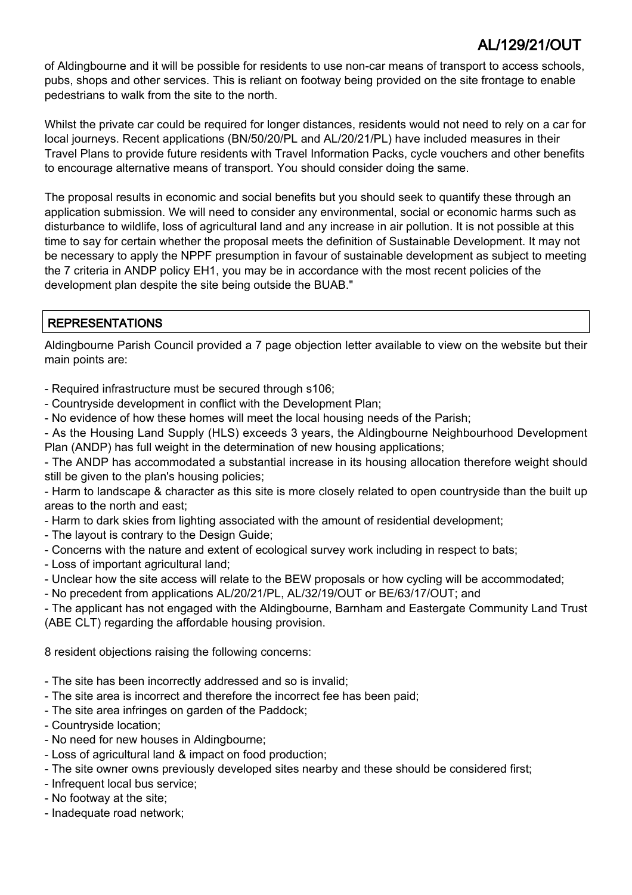of Aldingbourne and it will be possible for residents to use non-car means of transport to access schools, pubs, shops and other services. This is reliant on footway being provided on the site frontage to enable pedestrians to walk from the site to the north.

Whilst the private car could be required for longer distances, residents would not need to rely on a car for local journeys. Recent applications (BN/50/20/PL and AL/20/21/PL) have included measures in their Travel Plans to provide future residents with Travel Information Packs, cycle vouchers and other benefits to encourage alternative means of transport. You should consider doing the same.

The proposal results in economic and social benefits but you should seek to quantify these through an application submission. We will need to consider any environmental, social or economic harms such as disturbance to wildlife, loss of agricultural land and any increase in air pollution. It is not possible at this time to say for certain whether the proposal meets the definition of Sustainable Development. It may not be necessary to apply the NPPF presumption in favour of sustainable development as subject to meeting the 7 criteria in ANDP policy EH1, you may be in accordance with the most recent policies of the development plan despite the site being outside the BUAB."

### REPRESENTATIONS

Aldingbourne Parish Council provided a 7 page objection letter available to view on the website but their main points are:

- Required infrastructure must be secured through s106;

- Countryside development in conflict with the Development Plan;
- No evidence of how these homes will meet the local housing needs of the Parish;

- As the Housing Land Supply (HLS) exceeds 3 years, the Aldingbourne Neighbourhood Development Plan (ANDP) has full weight in the determination of new housing applications;

- The ANDP has accommodated a substantial increase in its housing allocation therefore weight should still be given to the plan's housing policies;

- Harm to landscape & character as this site is more closely related to open countryside than the built up areas to the north and east;

- Harm to dark skies from lighting associated with the amount of residential development;
- The layout is contrary to the Design Guide;
- Concerns with the nature and extent of ecological survey work including in respect to bats;
- Loss of important agricultural land;
- Unclear how the site access will relate to the BEW proposals or how cycling will be accommodated;
- No precedent from applications AL/20/21/PL, AL/32/19/OUT or BE/63/17/OUT; and

- The applicant has not engaged with the Aldingbourne, Barnham and Eastergate Community Land Trust (ABE CLT) regarding the affordable housing provision.

8 resident objections raising the following concerns:

- The site has been incorrectly addressed and so is invalid;
- The site area is incorrect and therefore the incorrect fee has been paid;
- The site area infringes on garden of the Paddock;
- Countryside location;
- No need for new houses in Aldingbourne;
- Loss of agricultural land & impact on food production;
- The site owner owns previously developed sites nearby and these should be considered first;
- Infrequent local bus service;
- No footway at the site;
- Inadequate road network;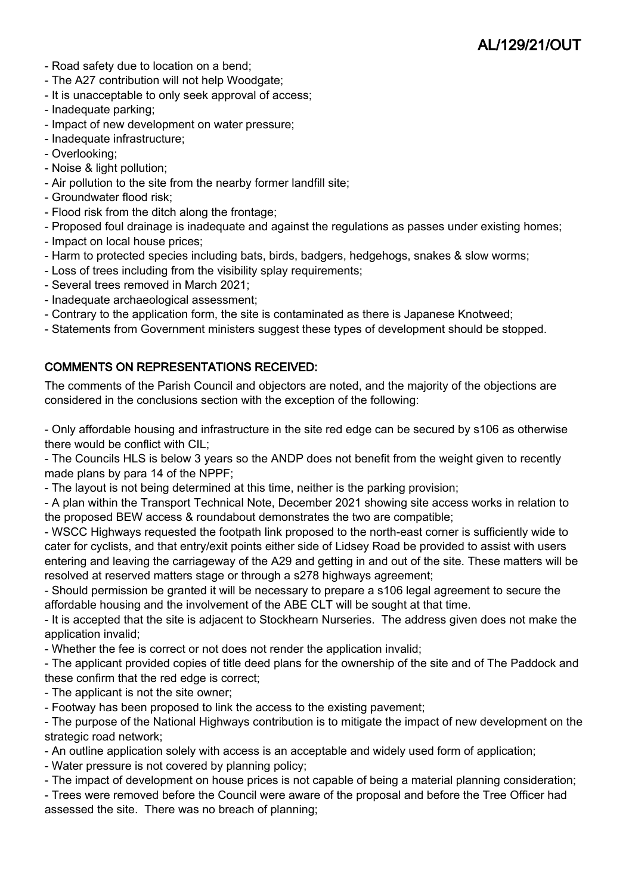- Road safety due to location on a bend;
- The A27 contribution will not help Woodgate;
- It is unacceptable to only seek approval of access;
- Inadequate parking;
- Impact of new development on water pressure;
- Inadequate infrastructure;
- Overlooking;
- Noise & light pollution;
- Air pollution to the site from the nearby former landfill site;
- Groundwater flood risk;
- Flood risk from the ditch along the frontage;
- Proposed foul drainage is inadequate and against the regulations as passes under existing homes;
- Impact on local house prices;
- Harm to protected species including bats, birds, badgers, hedgehogs, snakes & slow worms;
- Loss of trees including from the visibility splay requirements;
- Several trees removed in March 2021;
- Inadequate archaeological assessment;
- Contrary to the application form, the site is contaminated as there is Japanese Knotweed;
- Statements from Government ministers suggest these types of development should be stopped.

### COMMENTS ON REPRESENTATIONS RECEIVED:

The comments of the Parish Council and objectors are noted, and the majority of the objections are considered in the conclusions section with the exception of the following:

- Only affordable housing and infrastructure in the site red edge can be secured by s106 as otherwise there would be conflict with CIL;

- The Councils HLS is below 3 years so the ANDP does not benefit from the weight given to recently made plans by para 14 of the NPPF;

- The layout is not being determined at this time, neither is the parking provision;

- A plan within the Transport Technical Note, December 2021 showing site access works in relation to the proposed BEW access & roundabout demonstrates the two are compatible;

- WSCC Highways requested the footpath link proposed to the north-east corner is sufficiently wide to cater for cyclists, and that entry/exit points either side of Lidsey Road be provided to assist with users entering and leaving the carriageway of the A29 and getting in and out of the site. These matters will be resolved at reserved matters stage or through a s278 highways agreement;

- Should permission be granted it will be necessary to prepare a s106 legal agreement to secure the affordable housing and the involvement of the ABE CLT will be sought at that time.

- It is accepted that the site is adjacent to Stockhearn Nurseries. The address given does not make the application invalid;

- Whether the fee is correct or not does not render the application invalid;

- The applicant provided copies of title deed plans for the ownership of the site and of The Paddock and these confirm that the red edge is correct;

- The applicant is not the site owner;
- Footway has been proposed to link the access to the existing pavement;

- The purpose of the National Highways contribution is to mitigate the impact of new development on the strategic road network;

- An outline application solely with access is an acceptable and widely used form of application;

- Water pressure is not covered by planning policy;

- The impact of development on house prices is not capable of being a material planning consideration;

- Trees were removed before the Council were aware of the proposal and before the Tree Officer had assessed the site. There was no breach of planning;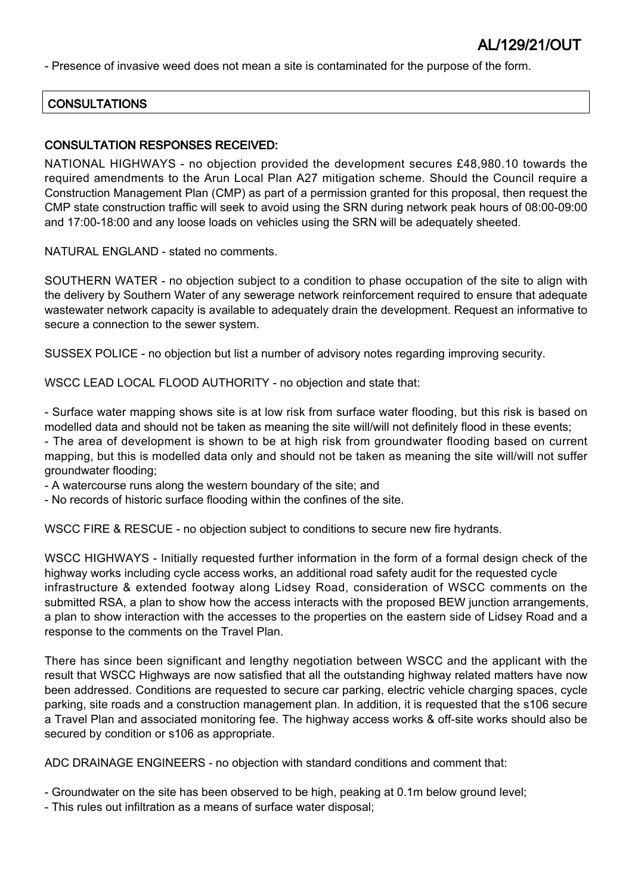- Presence of invasive weed does not mean a site is contaminated for the purpose of the form.

#### **CONSULTATIONS**

#### CONSULTATION RESPONSES RECEIVED:

NATIONAL HIGHWAYS - no objection provided the development secures £48,980.10 towards the required amendments to the Arun Local Plan A27 mitigation scheme. Should the Council require a Construction Management Plan (CMP) as part of a permission granted for this proposal, then request the CMP state construction traffic will seek to avoid using the SRN during network peak hours of 08:00-09:00 and 17:00-18:00 and any loose loads on vehicles using the SRN will be adequately sheeted.

NATURAL ENGLAND - stated no comments.

SOUTHERN WATER - no objection subject to a condition to phase occupation of the site to align with the delivery by Southern Water of any sewerage network reinforcement required to ensure that adequate wastewater network capacity is available to adequately drain the development. Request an informative to secure a connection to the sewer system.

SUSSEX POLICE - no objection but list a number of advisory notes regarding improving security.

WSCC LEAD LOCAL FLOOD AUTHORITY - no objection and state that:

- Surface water mapping shows site is at low risk from surface water flooding, but this risk is based on modelled data and should not be taken as meaning the site will/will not definitely flood in these events;

- The area of development is shown to be at high risk from groundwater flooding based on current mapping, but this is modelled data only and should not be taken as meaning the site will/will not suffer groundwater flooding;

- A watercourse runs along the western boundary of the site; and

- No records of historic surface flooding within the confines of the site.

WSCC FIRE & RESCUE - no objection subject to conditions to secure new fire hydrants.

WSCC HIGHWAYS - Initially requested further information in the form of a formal design check of the highway works including cycle access works, an additional road safety audit for the requested cycle infrastructure & extended footway along Lidsey Road, consideration of WSCC comments on the submitted RSA, a plan to show how the access interacts with the proposed BEW junction arrangements, a plan to show interaction with the accesses to the properties on the eastern side of Lidsey Road and a response to the comments on the Travel Plan.

There has since been significant and lengthy negotiation between WSCC and the applicant with the result that WSCC Highways are now satisfied that all the outstanding highway related matters have now been addressed. Conditions are requested to secure car parking, electric vehicle charging spaces, cycle parking, site roads and a construction management plan. In addition, it is requested that the s106 secure a Travel Plan and associated monitoring fee. The highway access works & off-site works should also be secured by condition or s106 as appropriate.

ADC DRAINAGE ENGINEERS - no objection with standard conditions and comment that:

- Groundwater on the site has been observed to be high, peaking at 0.1m below ground level;

- This rules out infiltration as a means of surface water disposal;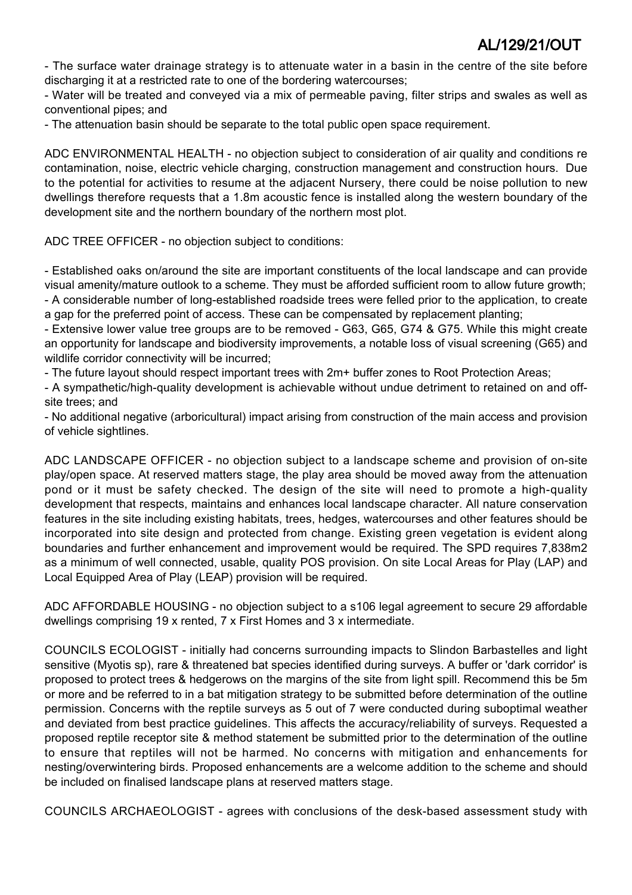- The surface water drainage strategy is to attenuate water in a basin in the centre of the site before discharging it at a restricted rate to one of the bordering watercourses;

- Water will be treated and conveyed via a mix of permeable paving, filter strips and swales as well as conventional pipes; and

- The attenuation basin should be separate to the total public open space requirement.

ADC ENVIRONMENTAL HEALTH - no objection subject to consideration of air quality and conditions re contamination, noise, electric vehicle charging, construction management and construction hours. Due to the potential for activities to resume at the adjacent Nursery, there could be noise pollution to new dwellings therefore requests that a 1.8m acoustic fence is installed along the western boundary of the development site and the northern boundary of the northern most plot.

ADC TREE OFFICER - no objection subject to conditions:

- Established oaks on/around the site are important constituents of the local landscape and can provide visual amenity/mature outlook to a scheme. They must be afforded sufficient room to allow future growth; - A considerable number of long-established roadside trees were felled prior to the application, to create

a gap for the preferred point of access. These can be compensated by replacement planting;

- Extensive lower value tree groups are to be removed - G63, G65, G74 & G75. While this might create an opportunity for landscape and biodiversity improvements, a notable loss of visual screening (G65) and wildlife corridor connectivity will be incurred;

- The future layout should respect important trees with 2m+ buffer zones to Root Protection Areas;

- A sympathetic/high-quality development is achievable without undue detriment to retained on and offsite trees; and

- No additional negative (arboricultural) impact arising from construction of the main access and provision of vehicle sightlines.

ADC LANDSCAPE OFFICER - no objection subject to a landscape scheme and provision of on-site play/open space. At reserved matters stage, the play area should be moved away from the attenuation pond or it must be safety checked. The design of the site will need to promote a high-quality development that respects, maintains and enhances local landscape character. All nature conservation features in the site including existing habitats, trees, hedges, watercourses and other features should be incorporated into site design and protected from change. Existing green vegetation is evident along boundaries and further enhancement and improvement would be required. The SPD requires 7,838m2 as a minimum of well connected, usable, quality POS provision. On site Local Areas for Play (LAP) and Local Equipped Area of Play (LEAP) provision will be required.

ADC AFFORDABLE HOUSING - no objection subject to a s106 legal agreement to secure 29 affordable dwellings comprising 19 x rented, 7 x First Homes and 3 x intermediate.

COUNCILS ECOLOGIST - initially had concerns surrounding impacts to Slindon Barbastelles and light sensitive (Myotis sp), rare & threatened bat species identified during surveys. A buffer or 'dark corridor' is proposed to protect trees & hedgerows on the margins of the site from light spill. Recommend this be 5m or more and be referred to in a bat mitigation strategy to be submitted before determination of the outline permission. Concerns with the reptile surveys as 5 out of 7 were conducted during suboptimal weather and deviated from best practice guidelines. This affects the accuracy/reliability of surveys. Requested a proposed reptile receptor site & method statement be submitted prior to the determination of the outline to ensure that reptiles will not be harmed. No concerns with mitigation and enhancements for nesting/overwintering birds. Proposed enhancements are a welcome addition to the scheme and should be included on finalised landscape plans at reserved matters stage.

COUNCILS ARCHAEOLOGIST - agrees with conclusions of the desk-based assessment study with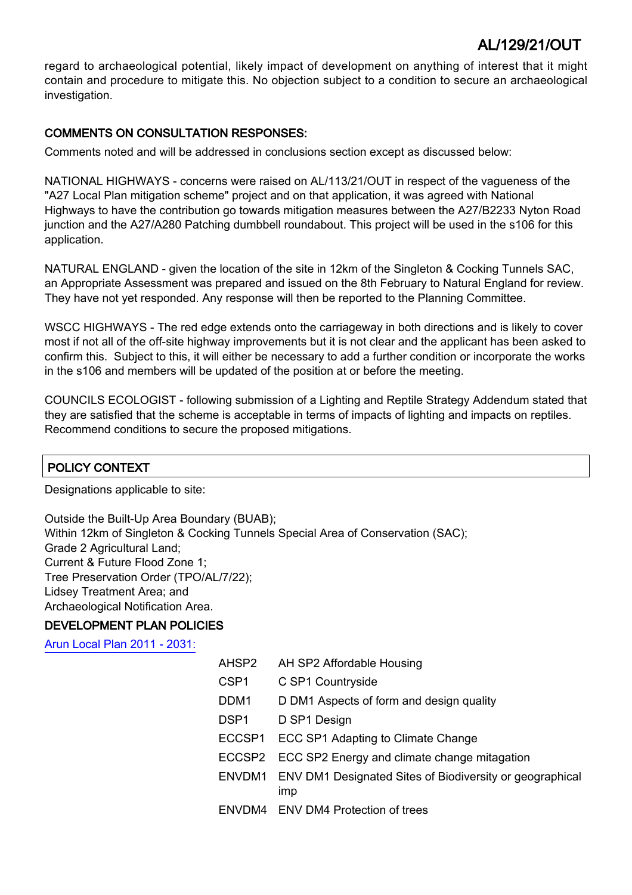regard to archaeological potential, likely impact of development on anything of interest that it might contain and procedure to mitigate this. No objection subject to a condition to secure an archaeological investigation.

### COMMENTS ON CONSULTATION RESPONSES:

Comments noted and will be addressed in conclusions section except as discussed below:

NATIONAL HIGHWAYS - concerns were raised on AL/113/21/OUT in respect of the vagueness of the "A27 Local Plan mitigation scheme" project and on that application, it was agreed with National Highways to have the contribution go towards mitigation measures between the A27/B2233 Nyton Road junction and the A27/A280 Patching dumbbell roundabout. This project will be used in the s106 for this application.

NATURAL ENGLAND - given the location of the site in 12km of the Singleton & Cocking Tunnels SAC, an Appropriate Assessment was prepared and issued on the 8th February to Natural England for review. They have not yet responded. Any response will then be reported to the Planning Committee.

WSCC HIGHWAYS - The red edge extends onto the carriageway in both directions and is likely to cover most if not all of the off-site highway improvements but it is not clear and the applicant has been asked to confirm this. Subject to this, it will either be necessary to add a further condition or incorporate the works in the s106 and members will be updated of the position at or before the meeting.

COUNCILS ECOLOGIST - following submission of a Lighting and Reptile Strategy Addendum stated that they are satisfied that the scheme is acceptable in terms of impacts of lighting and impacts on reptiles. Recommend conditions to secure the proposed mitigations.

### POLICY CONTEXT

Designations applicable to site:

Outside the Built-Up Area Boundary (BUAB); Within 12km of Singleton & Cocking Tunnels Special Area of Conservation (SAC); Grade 2 Agricultural Land; Current & Future Flood Zone 1; Tree Preservation Order (TPO/AL/7/22); Lidsey Treatment Area; and Archaeological Notification Area.

### DEVELOPMENT PLAN POLICIES

[Arun Local Plan 2011 - 2031:](https://www.arun.gov.uk/adopted-local-plan)

| AHSP2  | AH SP2 Affordable Housing                                              |
|--------|------------------------------------------------------------------------|
| CSP1   | C SP1 Countryside                                                      |
| DDM1   | D DM1 Aspects of form and design quality                               |
| DSP1   | D SP1 Design                                                           |
| ECCSP1 | ECC SP1 Adapting to Climate Change                                     |
|        | ECCSP2 ECC SP2 Energy and climate change mitagation                    |
|        | ENVDM1 ENV DM1 Designated Sites of Biodiversity or geographical<br>imp |
|        | ENVDM4 ENV DM4 Protection of trees                                     |
|        |                                                                        |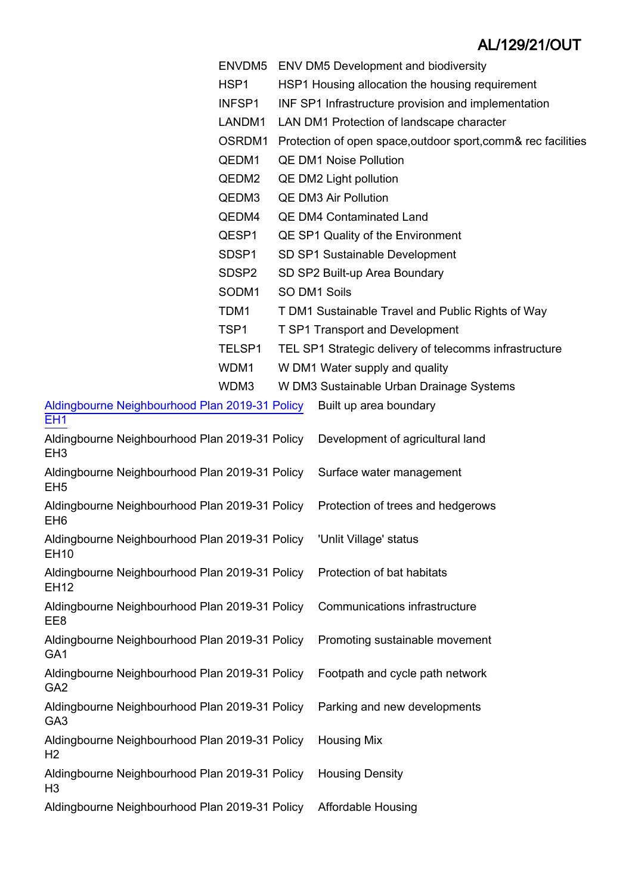- ENVDM5 ENV DM5 Development and biodiversity
- HSP1 HSP1 Housing allocation the housing requirement
- INFSP1 INF SP1 Infrastructure provision and implementation
- LANDM1 LAN DM1 Protection of landscape character
- OSRDM1 Protection of open space,outdoor sport,comm& rec facilities
- QEDM1 QE DM1 Noise Pollution
- QEDM2 QE DM2 Light pollution
- QEDM3 QE DM3 Air Pollution
- QEDM4 QE DM4 Contaminated Land
- QESP1 QE SP1 Quality of the Environment
- SDSP1 SD SP1 Sustainable Development
- SDSP2 SD SP2 Built-up Area Boundary
- SODM1 SO DM1 Soils
- TDM1 T DM1 Sustainable Travel and Public Rights of Way
- TSP1 T SP1 Transport and Development
- TELSP1 TEL SP1 Strategic delivery of telecomms infrastructure
- WDM1 W DM1 Water supply and quality
- WDM3 W DM3 Sustainable Urban Drainage Systems

| Aldingbourne Neighbourhood Plan 2019-31 Policy | Built up area boundary           |
|------------------------------------------------|----------------------------------|
| - FH1                                          |                                  |
| Aldingbourne Neighbourhood Plan 2019-31 Policy | Development of agricultural land |

- EH3 Aldingbourne Neighbourhood Plan 2019-31 Policy EH5
- Aldingbourne Neighbourhood Plan 2019-31 Policy EH6
- Aldingbourne Neighbourhood Plan 2019-31 Policy EH10
- Aldingbourne Neighbourhood Plan 2019-31 Policy EH12
- Aldingbourne Neighbourhood Plan 2019-31 Policy EE8
- Aldingbourne Neighbourhood Plan 2019-31 Policy GA1
- Aldingbourne Neighbourhood Plan 2019-31 Policy GA2
- Aldingbourne Neighbourhood Plan 2019-31 Policy GA3
- Aldingbourne Neighbourhood Plan 2019-31 Policy  $H<sub>2</sub>$
- Aldingbourne Neighbourhood Plan 2019-31 Policy  $H3$
- Aldingbourne Neighbourhood Plan 2019-31 Policy Affordable Housing
- Surface water management
- Protection of trees and hedgerows
- 'Unlit Village' status
- Protection of bat habitats
	- Communications infrastructure
	- Promoting sustainable movement
	- Footpath and cycle path network
	- Parking and new developments
- Housing Mix
	- Housing Density
	-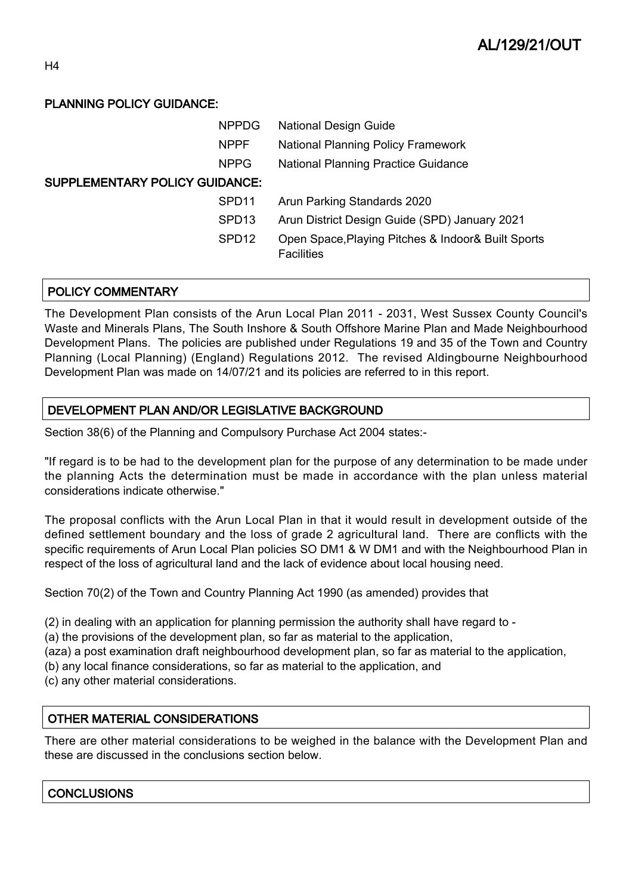### PLANNING POLICY GUIDANCE:

| <b>NPPDG</b>                          |                   | <b>National Design Guide</b>                       |  |  |  |
|---------------------------------------|-------------------|----------------------------------------------------|--|--|--|
| <b>NPPF</b>                           |                   | <b>National Planning Policy Framework</b>          |  |  |  |
| <b>NPPG</b>                           |                   | <b>National Planning Practice Guidance</b>         |  |  |  |
| <b>SUPPLEMENTARY POLICY GUIDANCE:</b> |                   |                                                    |  |  |  |
| SPD <sub>11</sub>                     |                   | Arun Parking Standards 2020                        |  |  |  |
| SPD <sub>13</sub>                     |                   | Arun District Design Guide (SPD) January 2021      |  |  |  |
| SPD <sub>12</sub>                     | <b>Facilities</b> | Open Space, Playing Pitches & Indoor& Built Sports |  |  |  |

### POLICY COMMENTARY

The Development Plan consists of the Arun Local Plan 2011 - 2031, West Sussex County Council's Waste and Minerals Plans, The South Inshore & South Offshore Marine Plan and Made Neighbourhood Development Plans. The policies are published under Regulations 19 and 35 of the Town and Country Planning (Local Planning) (England) Regulations 2012. The revised Aldingbourne Neighbourhood Development Plan was made on 14/07/21 and its policies are referred to in this report.

### DEVELOPMENT PLAN AND/OR LEGISLATIVE BACKGROUND

Section 38(6) of the Planning and Compulsory Purchase Act 2004 states:-

"If regard is to be had to the development plan for the purpose of any determination to be made under the planning Acts the determination must be made in accordance with the plan unless material considerations indicate otherwise."

The proposal conflicts with the Arun Local Plan in that it would result in development outside of the defined settlement boundary and the loss of grade 2 agricultural land. There are conflicts with the specific requirements of Arun Local Plan policies SO DM1 & W DM1 and with the Neighbourhood Plan in respect of the loss of agricultural land and the lack of evidence about local housing need.

Section 70(2) of the Town and Country Planning Act 1990 (as amended) provides that

- (2) in dealing with an application for planning permission the authority shall have regard to -
- (a) the provisions of the development plan, so far as material to the application,
- (aza) a post examination draft neighbourhood development plan, so far as material to the application,
- (b) any local finance considerations, so far as material to the application, and
- (c) any other material considerations.

### OTHER MATERIAL CONSIDERATIONS

There are other material considerations to be weighed in the balance with the Development Plan and these are discussed in the conclusions section below.

### **CONCLUSIONS**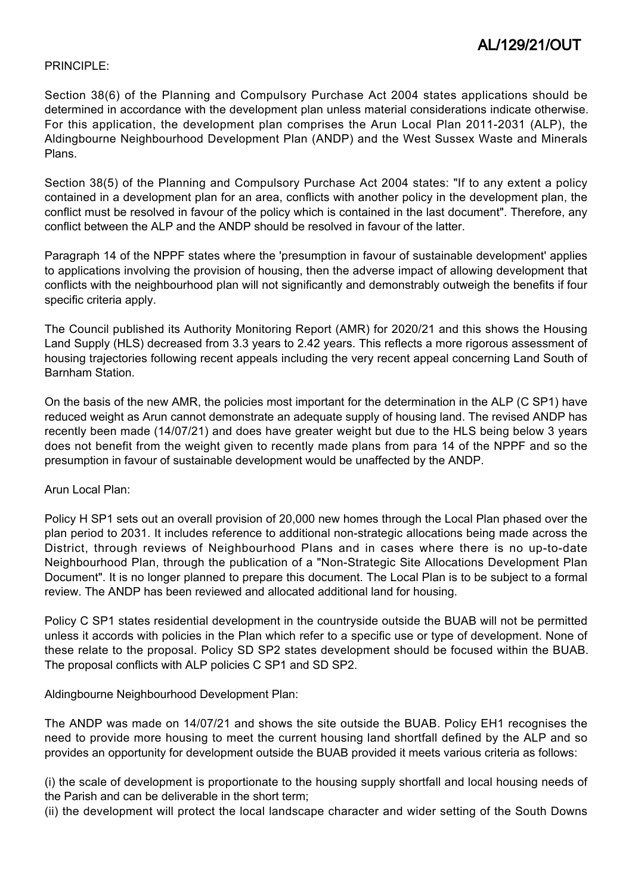#### PRINCIPLE:

Section 38(6) of the Planning and Compulsory Purchase Act 2004 states applications should be determined in accordance with the development plan unless material considerations indicate otherwise. For this application, the development plan comprises the Arun Local Plan 2011-2031 (ALP), the Aldingbourne Neighbourhood Development Plan (ANDP) and the West Sussex Waste and Minerals Plans.

Section 38(5) of the Planning and Compulsory Purchase Act 2004 states: "If to any extent a policy contained in a development plan for an area, conflicts with another policy in the development plan, the conflict must be resolved in favour of the policy which is contained in the last document". Therefore, any conflict between the ALP and the ANDP should be resolved in favour of the latter.

Paragraph 14 of the NPPF states where the 'presumption in favour of sustainable development' applies to applications involving the provision of housing, then the adverse impact of allowing development that conflicts with the neighbourhood plan will not significantly and demonstrably outweigh the benefits if four specific criteria apply.

The Council published its Authority Monitoring Report (AMR) for 2020/21 and this shows the Housing Land Supply (HLS) decreased from 3.3 years to 2.42 years. This reflects a more rigorous assessment of housing trajectories following recent appeals including the very recent appeal concerning Land South of Barnham Station.

On the basis of the new AMR, the policies most important for the determination in the ALP (C SP1) have reduced weight as Arun cannot demonstrate an adequate supply of housing land. The revised ANDP has recently been made (14/07/21) and does have greater weight but due to the HLS being below 3 years does not benefit from the weight given to recently made plans from para 14 of the NPPF and so the presumption in favour of sustainable development would be unaffected by the ANDP.

#### Arun Local Plan:

Policy H SP1 sets out an overall provision of 20,000 new homes through the Local Plan phased over the plan period to 2031. It includes reference to additional non-strategic allocations being made across the District, through reviews of Neighbourhood Plans and in cases where there is no up-to-date Neighbourhood Plan, through the publication of a "Non-Strategic Site Allocations Development Plan Document". It is no longer planned to prepare this document. The Local Plan is to be subject to a formal review. The ANDP has been reviewed and allocated additional land for housing.

Policy C SP1 states residential development in the countryside outside the BUAB will not be permitted unless it accords with policies in the Plan which refer to a specific use or type of development. None of these relate to the proposal. Policy SD SP2 states development should be focused within the BUAB. The proposal conflicts with ALP policies C SP1 and SD SP2.

Aldingbourne Neighbourhood Development Plan:

The ANDP was made on 14/07/21 and shows the site outside the BUAB. Policy EH1 recognises the need to provide more housing to meet the current housing land shortfall defined by the ALP and so provides an opportunity for development outside the BUAB provided it meets various criteria as follows:

(i) the scale of development is proportionate to the housing supply shortfall and local housing needs of the Parish and can be deliverable in the short term;

(ii) the development will protect the local landscape character and wider setting of the South Downs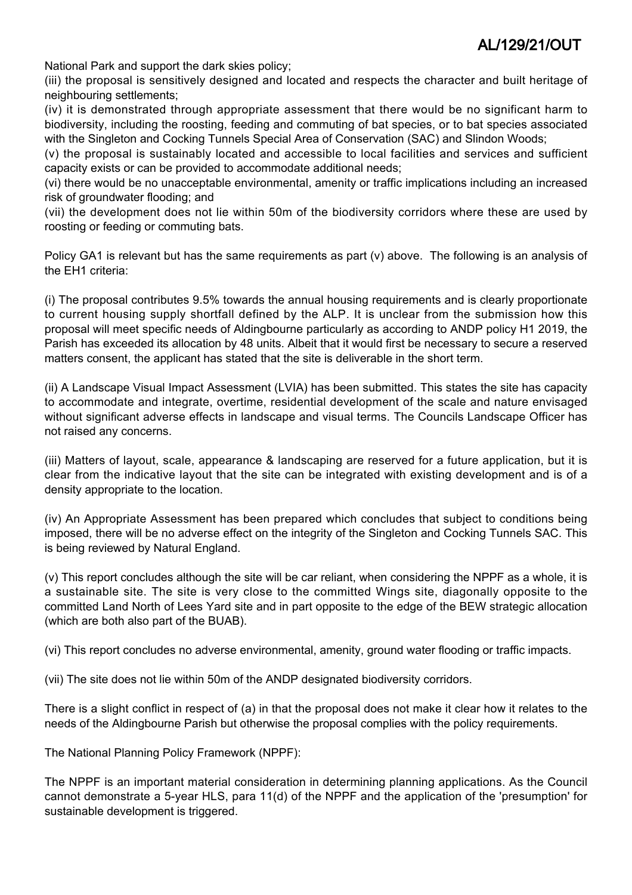National Park and support the dark skies policy;

(iii) the proposal is sensitively designed and located and respects the character and built heritage of neighbouring settlements;

(iv) it is demonstrated through appropriate assessment that there would be no significant harm to biodiversity, including the roosting, feeding and commuting of bat species, or to bat species associated with the Singleton and Cocking Tunnels Special Area of Conservation (SAC) and Slindon Woods;

(v) the proposal is sustainably located and accessible to local facilities and services and sufficient capacity exists or can be provided to accommodate additional needs;

(vi) there would be no unacceptable environmental, amenity or traffic implications including an increased risk of groundwater flooding; and

(vii) the development does not lie within 50m of the biodiversity corridors where these are used by roosting or feeding or commuting bats.

Policy GA1 is relevant but has the same requirements as part (v) above. The following is an analysis of the EH1 criteria:

(i) The proposal contributes 9.5% towards the annual housing requirements and is clearly proportionate to current housing supply shortfall defined by the ALP. It is unclear from the submission how this proposal will meet specific needs of Aldingbourne particularly as according to ANDP policy H1 2019, the Parish has exceeded its allocation by 48 units. Albeit that it would first be necessary to secure a reserved matters consent, the applicant has stated that the site is deliverable in the short term.

(ii) A Landscape Visual Impact Assessment (LVIA) has been submitted. This states the site has capacity to accommodate and integrate, overtime, residential development of the scale and nature envisaged without significant adverse effects in landscape and visual terms. The Councils Landscape Officer has not raised any concerns.

(iii) Matters of layout, scale, appearance & landscaping are reserved for a future application, but it is clear from the indicative layout that the site can be integrated with existing development and is of a density appropriate to the location.

(iv) An Appropriate Assessment has been prepared which concludes that subject to conditions being imposed, there will be no adverse effect on the integrity of the Singleton and Cocking Tunnels SAC. This is being reviewed by Natural England.

(v) This report concludes although the site will be car reliant, when considering the NPPF as a whole, it is a sustainable site. The site is very close to the committed Wings site, diagonally opposite to the committed Land North of Lees Yard site and in part opposite to the edge of the BEW strategic allocation (which are both also part of the BUAB).

(vi) This report concludes no adverse environmental, amenity, ground water flooding or traffic impacts.

(vii) The site does not lie within 50m of the ANDP designated biodiversity corridors.

There is a slight conflict in respect of (a) in that the proposal does not make it clear how it relates to the needs of the Aldingbourne Parish but otherwise the proposal complies with the policy requirements.

The National Planning Policy Framework (NPPF):

The NPPF is an important material consideration in determining planning applications. As the Council cannot demonstrate a 5-year HLS, para 11(d) of the NPPF and the application of the 'presumption' for sustainable development is triggered.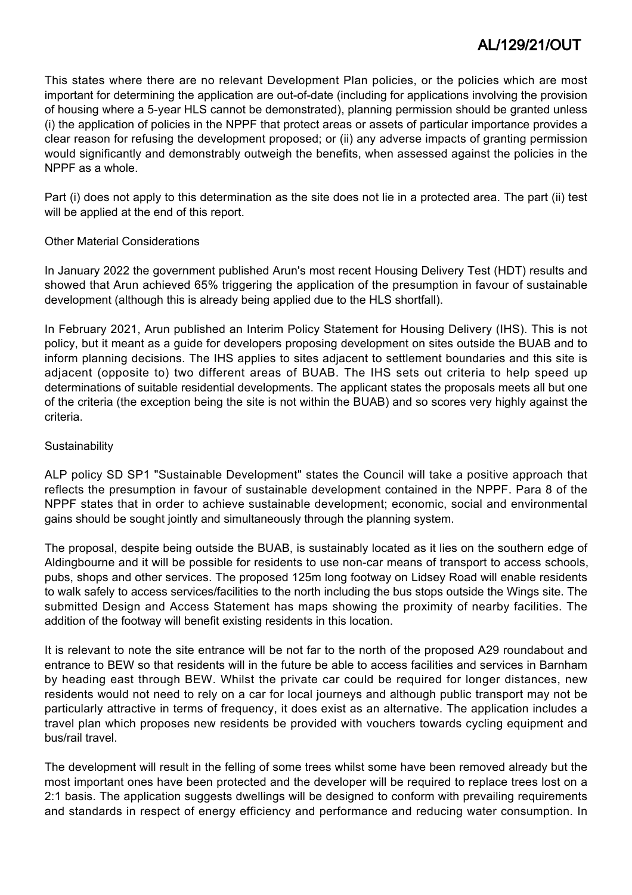This states where there are no relevant Development Plan policies, or the policies which are most important for determining the application are out-of-date (including for applications involving the provision of housing where a 5-year HLS cannot be demonstrated), planning permission should be granted unless (i) the application of policies in the NPPF that protect areas or assets of particular importance provides a clear reason for refusing the development proposed; or (ii) any adverse impacts of granting permission would significantly and demonstrably outweigh the benefits, when assessed against the policies in the NPPF as a whole.

Part (i) does not apply to this determination as the site does not lie in a protected area. The part (ii) test will be applied at the end of this report.

#### Other Material Considerations

In January 2022 the government published Arun's most recent Housing Delivery Test (HDT) results and showed that Arun achieved 65% triggering the application of the presumption in favour of sustainable development (although this is already being applied due to the HLS shortfall).

In February 2021, Arun published an Interim Policy Statement for Housing Delivery (IHS). This is not policy, but it meant as a guide for developers proposing development on sites outside the BUAB and to inform planning decisions. The IHS applies to sites adjacent to settlement boundaries and this site is adjacent (opposite to) two different areas of BUAB. The IHS sets out criteria to help speed up determinations of suitable residential developments. The applicant states the proposals meets all but one of the criteria (the exception being the site is not within the BUAB) and so scores very highly against the criteria.

#### **Sustainability**

ALP policy SD SP1 "Sustainable Development" states the Council will take a positive approach that reflects the presumption in favour of sustainable development contained in the NPPF. Para 8 of the NPPF states that in order to achieve sustainable development; economic, social and environmental gains should be sought jointly and simultaneously through the planning system.

The proposal, despite being outside the BUAB, is sustainably located as it lies on the southern edge of Aldingbourne and it will be possible for residents to use non-car means of transport to access schools, pubs, shops and other services. The proposed 125m long footway on Lidsey Road will enable residents to walk safely to access services/facilities to the north including the bus stops outside the Wings site. The submitted Design and Access Statement has maps showing the proximity of nearby facilities. The addition of the footway will benefit existing residents in this location.

It is relevant to note the site entrance will be not far to the north of the proposed A29 roundabout and entrance to BEW so that residents will in the future be able to access facilities and services in Barnham by heading east through BEW. Whilst the private car could be required for longer distances, new residents would not need to rely on a car for local journeys and although public transport may not be particularly attractive in terms of frequency, it does exist as an alternative. The application includes a travel plan which proposes new residents be provided with vouchers towards cycling equipment and bus/rail travel.

The development will result in the felling of some trees whilst some have been removed already but the most important ones have been protected and the developer will be required to replace trees lost on a 2:1 basis. The application suggests dwellings will be designed to conform with prevailing requirements and standards in respect of energy efficiency and performance and reducing water consumption. In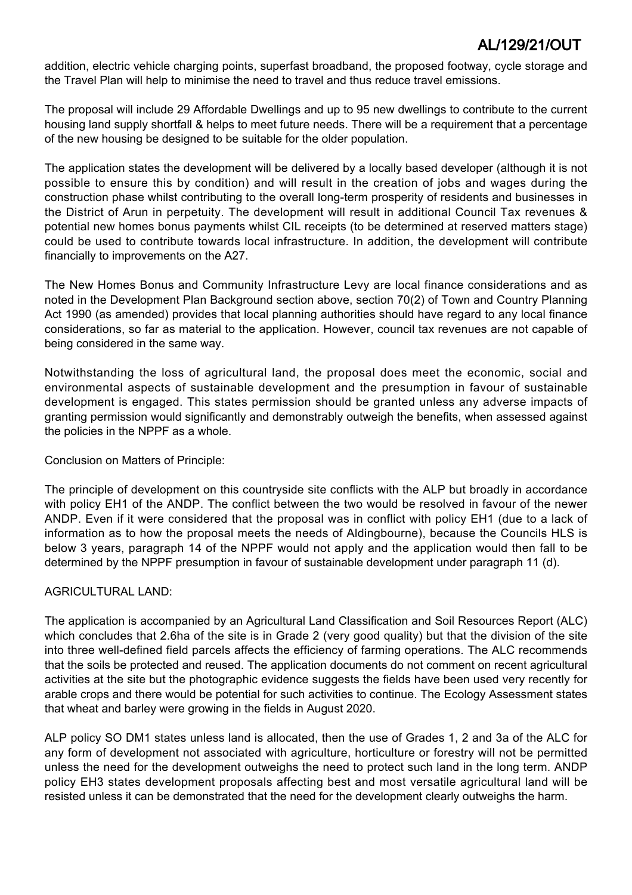addition, electric vehicle charging points, superfast broadband, the proposed footway, cycle storage and the Travel Plan will help to minimise the need to travel and thus reduce travel emissions.

The proposal will include 29 Affordable Dwellings and up to 95 new dwellings to contribute to the current housing land supply shortfall & helps to meet future needs. There will be a requirement that a percentage of the new housing be designed to be suitable for the older population.

The application states the development will be delivered by a locally based developer (although it is not possible to ensure this by condition) and will result in the creation of jobs and wages during the construction phase whilst contributing to the overall long-term prosperity of residents and businesses in the District of Arun in perpetuity. The development will result in additional Council Tax revenues & potential new homes bonus payments whilst CIL receipts (to be determined at reserved matters stage) could be used to contribute towards local infrastructure. In addition, the development will contribute financially to improvements on the A27.

The New Homes Bonus and Community Infrastructure Levy are local finance considerations and as noted in the Development Plan Background section above, section 70(2) of Town and Country Planning Act 1990 (as amended) provides that local planning authorities should have regard to any local finance considerations, so far as material to the application. However, council tax revenues are not capable of being considered in the same way.

Notwithstanding the loss of agricultural land, the proposal does meet the economic, social and environmental aspects of sustainable development and the presumption in favour of sustainable development is engaged. This states permission should be granted unless any adverse impacts of granting permission would significantly and demonstrably outweigh the benefits, when assessed against the policies in the NPPF as a whole.

#### Conclusion on Matters of Principle:

The principle of development on this countryside site conflicts with the ALP but broadly in accordance with policy EH1 of the ANDP. The conflict between the two would be resolved in favour of the newer ANDP. Even if it were considered that the proposal was in conflict with policy EH1 (due to a lack of information as to how the proposal meets the needs of Aldingbourne), because the Councils HLS is below 3 years, paragraph 14 of the NPPF would not apply and the application would then fall to be determined by the NPPF presumption in favour of sustainable development under paragraph 11 (d).

### AGRICULTURAL LAND:

The application is accompanied by an Agricultural Land Classification and Soil Resources Report (ALC) which concludes that 2.6ha of the site is in Grade 2 (very good quality) but that the division of the site into three well-defined field parcels affects the efficiency of farming operations. The ALC recommends that the soils be protected and reused. The application documents do not comment on recent agricultural activities at the site but the photographic evidence suggests the fields have been used very recently for arable crops and there would be potential for such activities to continue. The Ecology Assessment states that wheat and barley were growing in the fields in August 2020.

ALP policy SO DM1 states unless land is allocated, then the use of Grades 1, 2 and 3a of the ALC for any form of development not associated with agriculture, horticulture or forestry will not be permitted unless the need for the development outweighs the need to protect such land in the long term. ANDP policy EH3 states development proposals affecting best and most versatile agricultural land will be resisted unless it can be demonstrated that the need for the development clearly outweighs the harm.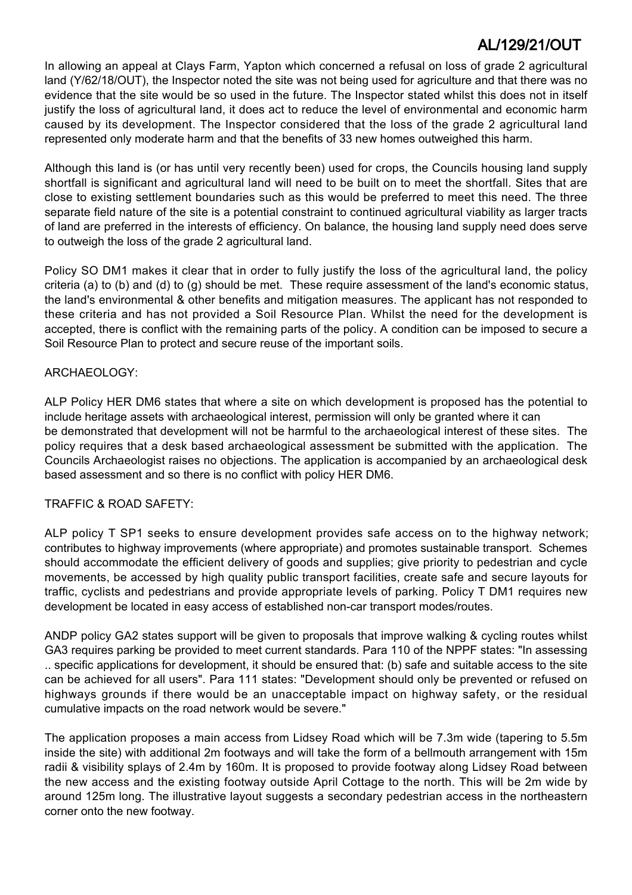In allowing an appeal at Clays Farm, Yapton which concerned a refusal on loss of grade 2 agricultural land (Y/62/18/OUT), the Inspector noted the site was not being used for agriculture and that there was no evidence that the site would be so used in the future. The Inspector stated whilst this does not in itself justify the loss of agricultural land, it does act to reduce the level of environmental and economic harm caused by its development. The Inspector considered that the loss of the grade 2 agricultural land represented only moderate harm and that the benefits of 33 new homes outweighed this harm.

Although this land is (or has until very recently been) used for crops, the Councils housing land supply shortfall is significant and agricultural land will need to be built on to meet the shortfall. Sites that are close to existing settlement boundaries such as this would be preferred to meet this need. The three separate field nature of the site is a potential constraint to continued agricultural viability as larger tracts of land are preferred in the interests of efficiency. On balance, the housing land supply need does serve to outweigh the loss of the grade 2 agricultural land.

Policy SO DM1 makes it clear that in order to fully justify the loss of the agricultural land, the policy criteria (a) to (b) and (d) to (g) should be met. These require assessment of the land's economic status, the land's environmental & other benefits and mitigation measures. The applicant has not responded to these criteria and has not provided a Soil Resource Plan. Whilst the need for the development is accepted, there is conflict with the remaining parts of the policy. A condition can be imposed to secure a Soil Resource Plan to protect and secure reuse of the important soils.

#### ARCHAEOLOGY:

ALP Policy HER DM6 states that where a site on which development is proposed has the potential to include heritage assets with archaeological interest, permission will only be granted where it can be demonstrated that development will not be harmful to the archaeological interest of these sites. The policy requires that a desk based archaeological assessment be submitted with the application. The Councils Archaeologist raises no objections. The application is accompanied by an archaeological desk based assessment and so there is no conflict with policy HER DM6.

#### TRAFFIC & ROAD SAFETY:

ALP policy T SP1 seeks to ensure development provides safe access on to the highway network; contributes to highway improvements (where appropriate) and promotes sustainable transport. Schemes should accommodate the efficient delivery of goods and supplies; give priority to pedestrian and cycle movements, be accessed by high quality public transport facilities, create safe and secure layouts for traffic, cyclists and pedestrians and provide appropriate levels of parking. Policy T DM1 requires new development be located in easy access of established non-car transport modes/routes.

ANDP policy GA2 states support will be given to proposals that improve walking & cycling routes whilst GA3 requires parking be provided to meet current standards. Para 110 of the NPPF states: "In assessing .. specific applications for development, it should be ensured that: (b) safe and suitable access to the site can be achieved for all users". Para 111 states: "Development should only be prevented or refused on highways grounds if there would be an unacceptable impact on highway safety, or the residual cumulative impacts on the road network would be severe."

The application proposes a main access from Lidsey Road which will be 7.3m wide (tapering to 5.5m inside the site) with additional 2m footways and will take the form of a bellmouth arrangement with 15m radii & visibility splays of 2.4m by 160m. It is proposed to provide footway along Lidsey Road between the new access and the existing footway outside April Cottage to the north. This will be 2m wide by around 125m long. The illustrative layout suggests a secondary pedestrian access in the northeastern corner onto the new footway.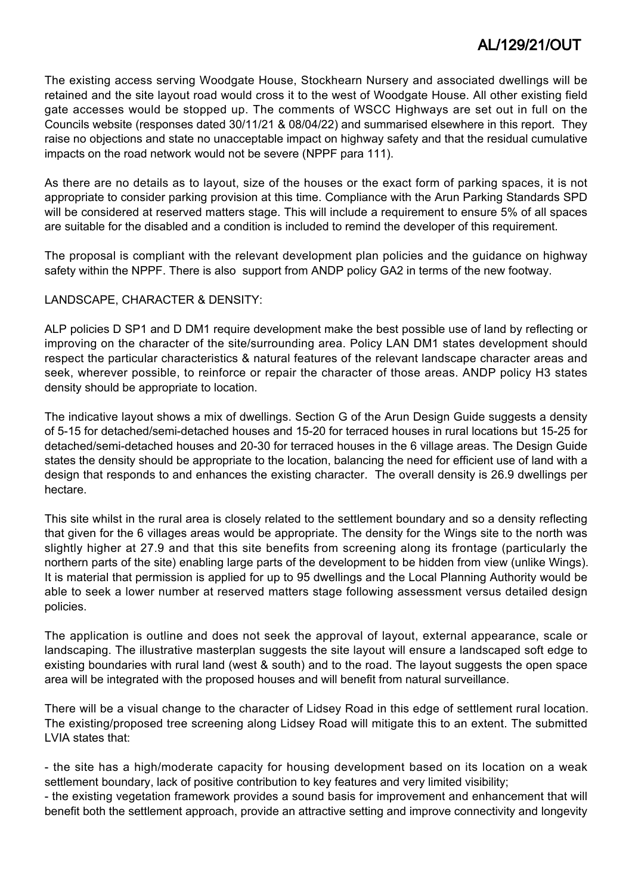The existing access serving Woodgate House, Stockhearn Nursery and associated dwellings will be retained and the site layout road would cross it to the west of Woodgate House. All other existing field gate accesses would be stopped up. The comments of WSCC Highways are set out in full on the Councils website (responses dated 30/11/21 & 08/04/22) and summarised elsewhere in this report. They raise no objections and state no unacceptable impact on highway safety and that the residual cumulative impacts on the road network would not be severe (NPPF para 111).

As there are no details as to layout, size of the houses or the exact form of parking spaces, it is not appropriate to consider parking provision at this time. Compliance with the Arun Parking Standards SPD will be considered at reserved matters stage. This will include a requirement to ensure 5% of all spaces are suitable for the disabled and a condition is included to remind the developer of this requirement.

The proposal is compliant with the relevant development plan policies and the guidance on highway safety within the NPPF. There is also support from ANDP policy GA2 in terms of the new footway.

#### LANDSCAPE, CHARACTER & DENSITY:

ALP policies D SP1 and D DM1 require development make the best possible use of land by reflecting or improving on the character of the site/surrounding area. Policy LAN DM1 states development should respect the particular characteristics & natural features of the relevant landscape character areas and seek, wherever possible, to reinforce or repair the character of those areas. ANDP policy H3 states density should be appropriate to location.

The indicative layout shows a mix of dwellings. Section G of the Arun Design Guide suggests a density of 5-15 for detached/semi-detached houses and 15-20 for terraced houses in rural locations but 15-25 for detached/semi-detached houses and 20-30 for terraced houses in the 6 village areas. The Design Guide states the density should be appropriate to the location, balancing the need for efficient use of land with a design that responds to and enhances the existing character. The overall density is 26.9 dwellings per hectare.

This site whilst in the rural area is closely related to the settlement boundary and so a density reflecting that given for the 6 villages areas would be appropriate. The density for the Wings site to the north was slightly higher at 27.9 and that this site benefits from screening along its frontage (particularly the northern parts of the site) enabling large parts of the development to be hidden from view (unlike Wings). It is material that permission is applied for up to 95 dwellings and the Local Planning Authority would be able to seek a lower number at reserved matters stage following assessment versus detailed design policies.

The application is outline and does not seek the approval of layout, external appearance, scale or landscaping. The illustrative masterplan suggests the site layout will ensure a landscaped soft edge to existing boundaries with rural land (west & south) and to the road. The layout suggests the open space area will be integrated with the proposed houses and will benefit from natural surveillance.

There will be a visual change to the character of Lidsey Road in this edge of settlement rural location. The existing/proposed tree screening along Lidsey Road will mitigate this to an extent. The submitted LVIA states that:

- the site has a high/moderate capacity for housing development based on its location on a weak settlement boundary, lack of positive contribution to key features and very limited visibility;

- the existing vegetation framework provides a sound basis for improvement and enhancement that will benefit both the settlement approach, provide an attractive setting and improve connectivity and longevity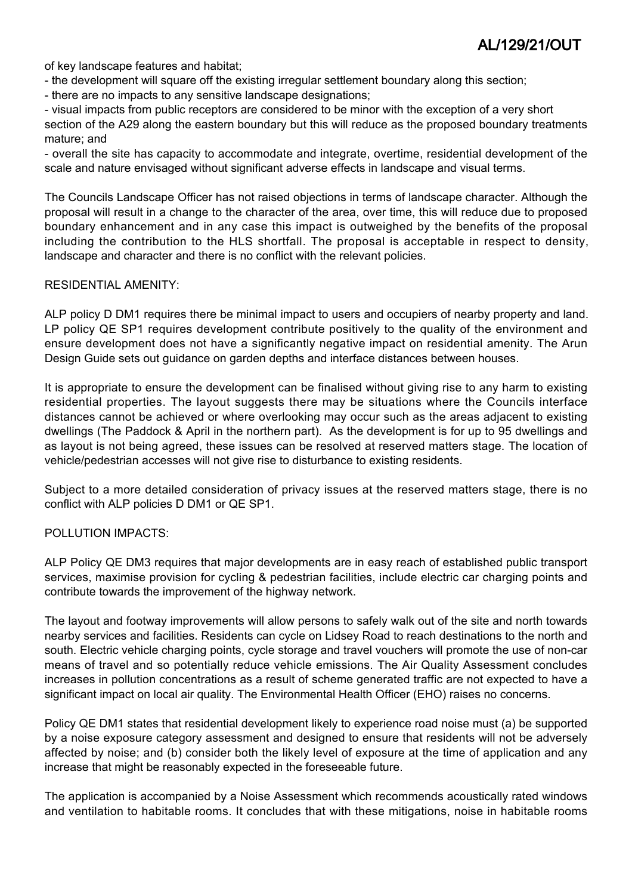of key landscape features and habitat;

- the development will square off the existing irregular settlement boundary along this section;
- there are no impacts to any sensitive landscape designations;

- visual impacts from public receptors are considered to be minor with the exception of a very short section of the A29 along the eastern boundary but this will reduce as the proposed boundary treatments mature; and

- overall the site has capacity to accommodate and integrate, overtime, residential development of the scale and nature envisaged without significant adverse effects in landscape and visual terms.

The Councils Landscape Officer has not raised objections in terms of landscape character. Although the proposal will result in a change to the character of the area, over time, this will reduce due to proposed boundary enhancement and in any case this impact is outweighed by the benefits of the proposal including the contribution to the HLS shortfall. The proposal is acceptable in respect to density, landscape and character and there is no conflict with the relevant policies.

#### RESIDENTIAL AMENITY:

ALP policy D DM1 requires there be minimal impact to users and occupiers of nearby property and land. LP policy QE SP1 requires development contribute positively to the quality of the environment and ensure development does not have a significantly negative impact on residential amenity. The Arun Design Guide sets out guidance on garden depths and interface distances between houses.

It is appropriate to ensure the development can be finalised without giving rise to any harm to existing residential properties. The layout suggests there may be situations where the Councils interface distances cannot be achieved or where overlooking may occur such as the areas adjacent to existing dwellings (The Paddock & April in the northern part). As the development is for up to 95 dwellings and as layout is not being agreed, these issues can be resolved at reserved matters stage. The location of vehicle/pedestrian accesses will not give rise to disturbance to existing residents.

Subject to a more detailed consideration of privacy issues at the reserved matters stage, there is no conflict with ALP policies D DM1 or QE SP1.

#### POLLUTION IMPACTS:

ALP Policy QE DM3 requires that major developments are in easy reach of established public transport services, maximise provision for cycling & pedestrian facilities, include electric car charging points and contribute towards the improvement of the highway network.

The layout and footway improvements will allow persons to safely walk out of the site and north towards nearby services and facilities. Residents can cycle on Lidsey Road to reach destinations to the north and south. Electric vehicle charging points, cycle storage and travel vouchers will promote the use of non-car means of travel and so potentially reduce vehicle emissions. The Air Quality Assessment concludes increases in pollution concentrations as a result of scheme generated traffic are not expected to have a significant impact on local air quality. The Environmental Health Officer (EHO) raises no concerns.

Policy QE DM1 states that residential development likely to experience road noise must (a) be supported by a noise exposure category assessment and designed to ensure that residents will not be adversely affected by noise; and (b) consider both the likely level of exposure at the time of application and any increase that might be reasonably expected in the foreseeable future.

The application is accompanied by a Noise Assessment which recommends acoustically rated windows and ventilation to habitable rooms. It concludes that with these mitigations, noise in habitable rooms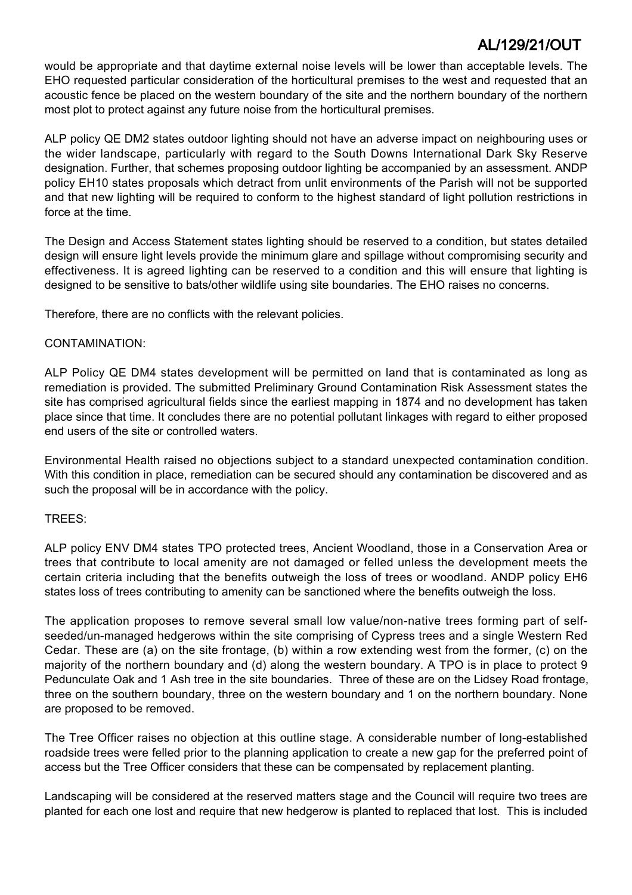would be appropriate and that daytime external noise levels will be lower than acceptable levels. The EHO requested particular consideration of the horticultural premises to the west and requested that an acoustic fence be placed on the western boundary of the site and the northern boundary of the northern most plot to protect against any future noise from the horticultural premises.

ALP policy QE DM2 states outdoor lighting should not have an adverse impact on neighbouring uses or the wider landscape, particularly with regard to the South Downs International Dark Sky Reserve designation. Further, that schemes proposing outdoor lighting be accompanied by an assessment. ANDP policy EH10 states proposals which detract from unlit environments of the Parish will not be supported and that new lighting will be required to conform to the highest standard of light pollution restrictions in force at the time.

The Design and Access Statement states lighting should be reserved to a condition, but states detailed design will ensure light levels provide the minimum glare and spillage without compromising security and effectiveness. It is agreed lighting can be reserved to a condition and this will ensure that lighting is designed to be sensitive to bats/other wildlife using site boundaries. The EHO raises no concerns.

Therefore, there are no conflicts with the relevant policies.

#### CONTAMINATION:

ALP Policy QE DM4 states development will be permitted on land that is contaminated as long as remediation is provided. The submitted Preliminary Ground Contamination Risk Assessment states the site has comprised agricultural fields since the earliest mapping in 1874 and no development has taken place since that time. It concludes there are no potential pollutant linkages with regard to either proposed end users of the site or controlled waters.

Environmental Health raised no objections subject to a standard unexpected contamination condition. With this condition in place, remediation can be secured should any contamination be discovered and as such the proposal will be in accordance with the policy.

### TREES:

ALP policy ENV DM4 states TPO protected trees, Ancient Woodland, those in a Conservation Area or trees that contribute to local amenity are not damaged or felled unless the development meets the certain criteria including that the benefits outweigh the loss of trees or woodland. ANDP policy EH6 states loss of trees contributing to amenity can be sanctioned where the benefits outweigh the loss.

The application proposes to remove several small low value/non-native trees forming part of selfseeded/un-managed hedgerows within the site comprising of Cypress trees and a single Western Red Cedar. These are (a) on the site frontage, (b) within a row extending west from the former, (c) on the majority of the northern boundary and (d) along the western boundary. A TPO is in place to protect 9 Pedunculate Oak and 1 Ash tree in the site boundaries. Three of these are on the Lidsey Road frontage, three on the southern boundary, three on the western boundary and 1 on the northern boundary. None are proposed to be removed.

The Tree Officer raises no objection at this outline stage. A considerable number of long-established roadside trees were felled prior to the planning application to create a new gap for the preferred point of access but the Tree Officer considers that these can be compensated by replacement planting.

Landscaping will be considered at the reserved matters stage and the Council will require two trees are planted for each one lost and require that new hedgerow is planted to replaced that lost. This is included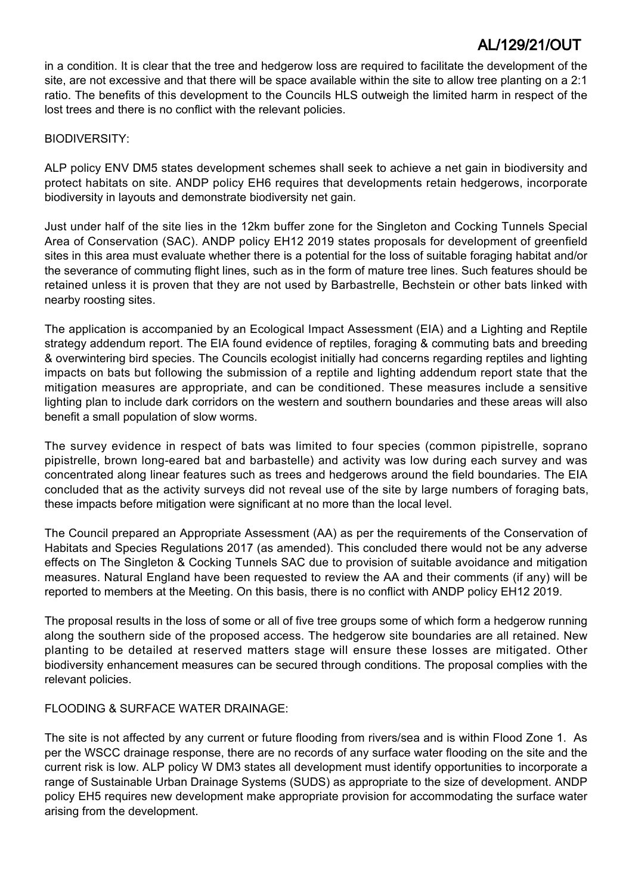in a condition. It is clear that the tree and hedgerow loss are required to facilitate the development of the site, are not excessive and that there will be space available within the site to allow tree planting on a 2:1 ratio. The benefits of this development to the Councils HLS outweigh the limited harm in respect of the lost trees and there is no conflict with the relevant policies.

#### BIODIVERSITY:

ALP policy ENV DM5 states development schemes shall seek to achieve a net gain in biodiversity and protect habitats on site. ANDP policy EH6 requires that developments retain hedgerows, incorporate biodiversity in layouts and demonstrate biodiversity net gain.

Just under half of the site lies in the 12km buffer zone for the Singleton and Cocking Tunnels Special Area of Conservation (SAC). ANDP policy EH12 2019 states proposals for development of greenfield sites in this area must evaluate whether there is a potential for the loss of suitable foraging habitat and/or the severance of commuting flight lines, such as in the form of mature tree lines. Such features should be retained unless it is proven that they are not used by Barbastrelle, Bechstein or other bats linked with nearby roosting sites.

The application is accompanied by an Ecological Impact Assessment (EIA) and a Lighting and Reptile strategy addendum report. The EIA found evidence of reptiles, foraging & commuting bats and breeding & overwintering bird species. The Councils ecologist initially had concerns regarding reptiles and lighting impacts on bats but following the submission of a reptile and lighting addendum report state that the mitigation measures are appropriate, and can be conditioned. These measures include a sensitive lighting plan to include dark corridors on the western and southern boundaries and these areas will also benefit a small population of slow worms.

The survey evidence in respect of bats was limited to four species (common pipistrelle, soprano pipistrelle, brown long-eared bat and barbastelle) and activity was low during each survey and was concentrated along linear features such as trees and hedgerows around the field boundaries. The EIA concluded that as the activity surveys did not reveal use of the site by large numbers of foraging bats, these impacts before mitigation were significant at no more than the local level.

The Council prepared an Appropriate Assessment (AA) as per the requirements of the Conservation of Habitats and Species Regulations 2017 (as amended). This concluded there would not be any adverse effects on The Singleton & Cocking Tunnels SAC due to provision of suitable avoidance and mitigation measures. Natural England have been requested to review the AA and their comments (if any) will be reported to members at the Meeting. On this basis, there is no conflict with ANDP policy EH12 2019.

The proposal results in the loss of some or all of five tree groups some of which form a hedgerow running along the southern side of the proposed access. The hedgerow site boundaries are all retained. New planting to be detailed at reserved matters stage will ensure these losses are mitigated. Other biodiversity enhancement measures can be secured through conditions. The proposal complies with the relevant policies.

#### FLOODING & SURFACE WATER DRAINAGE:

The site is not affected by any current or future flooding from rivers/sea and is within Flood Zone 1. As per the WSCC drainage response, there are no records of any surface water flooding on the site and the current risk is low. ALP policy W DM3 states all development must identify opportunities to incorporate a range of Sustainable Urban Drainage Systems (SUDS) as appropriate to the size of development. ANDP policy EH5 requires new development make appropriate provision for accommodating the surface water arising from the development.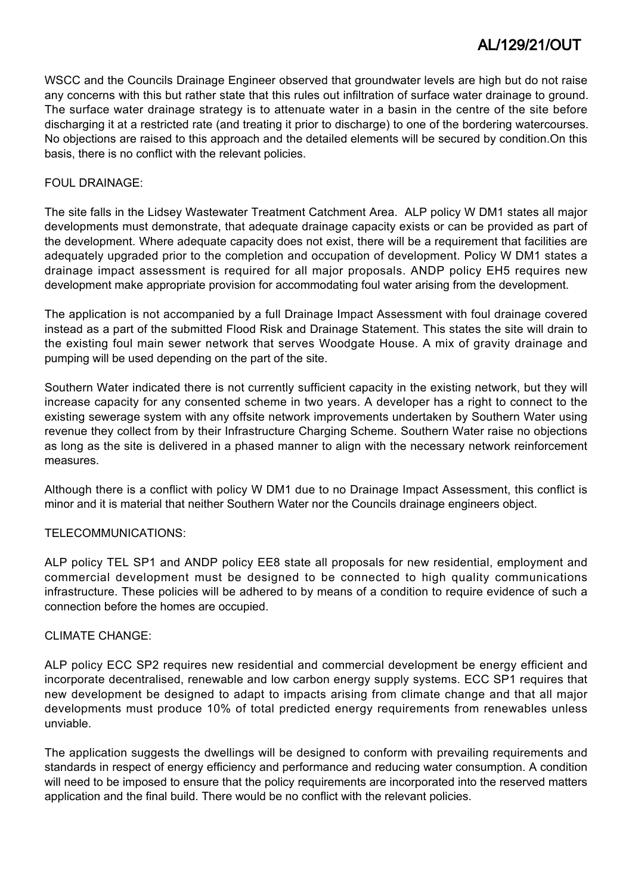WSCC and the Councils Drainage Engineer observed that groundwater levels are high but do not raise any concerns with this but rather state that this rules out infiltration of surface water drainage to ground. The surface water drainage strategy is to attenuate water in a basin in the centre of the site before discharging it at a restricted rate (and treating it prior to discharge) to one of the bordering watercourses. No objections are raised to this approach and the detailed elements will be secured by condition.On this basis, there is no conflict with the relevant policies.

#### FOUL DRAINAGE:

The site falls in the Lidsey Wastewater Treatment Catchment Area. ALP policy W DM1 states all major developments must demonstrate, that adequate drainage capacity exists or can be provided as part of the development. Where adequate capacity does not exist, there will be a requirement that facilities are adequately upgraded prior to the completion and occupation of development. Policy W DM1 states a drainage impact assessment is required for all major proposals. ANDP policy EH5 requires new development make appropriate provision for accommodating foul water arising from the development.

The application is not accompanied by a full Drainage Impact Assessment with foul drainage covered instead as a part of the submitted Flood Risk and Drainage Statement. This states the site will drain to the existing foul main sewer network that serves Woodgate House. A mix of gravity drainage and pumping will be used depending on the part of the site.

Southern Water indicated there is not currently sufficient capacity in the existing network, but they will increase capacity for any consented scheme in two years. A developer has a right to connect to the existing sewerage system with any offsite network improvements undertaken by Southern Water using revenue they collect from by their Infrastructure Charging Scheme. Southern Water raise no objections as long as the site is delivered in a phased manner to align with the necessary network reinforcement measures.

Although there is a conflict with policy W DM1 due to no Drainage Impact Assessment, this conflict is minor and it is material that neither Southern Water nor the Councils drainage engineers object.

### TELECOMMUNICATIONS:

ALP policy TEL SP1 and ANDP policy EE8 state all proposals for new residential, employment and commercial development must be designed to be connected to high quality communications infrastructure. These policies will be adhered to by means of a condition to require evidence of such a connection before the homes are occupied.

#### CLIMATE CHANGE:

ALP policy ECC SP2 requires new residential and commercial development be energy efficient and incorporate decentralised, renewable and low carbon energy supply systems. ECC SP1 requires that new development be designed to adapt to impacts arising from climate change and that all major developments must produce 10% of total predicted energy requirements from renewables unless unviable.

The application suggests the dwellings will be designed to conform with prevailing requirements and standards in respect of energy efficiency and performance and reducing water consumption. A condition will need to be imposed to ensure that the policy requirements are incorporated into the reserved matters application and the final build. There would be no conflict with the relevant policies.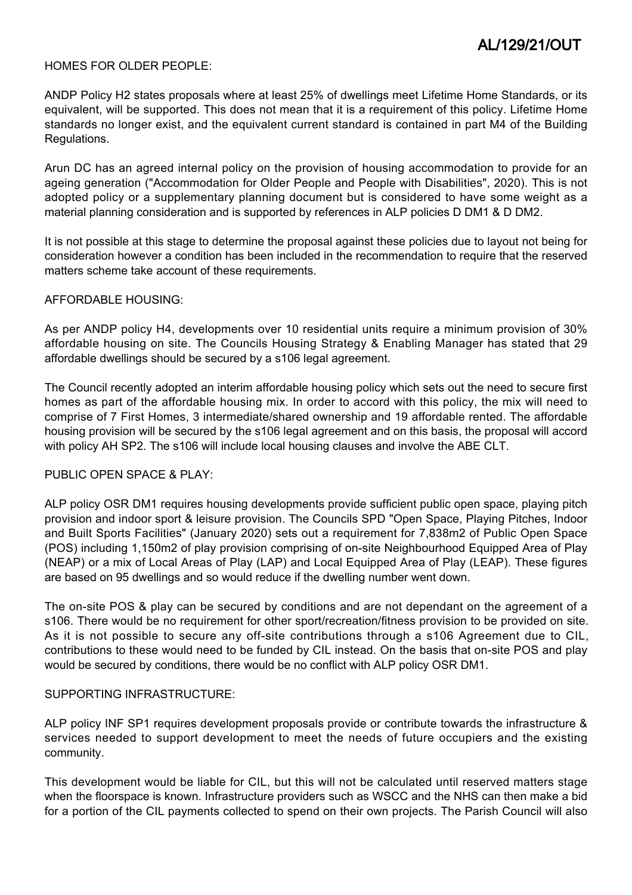#### HOMES FOR OLDER PEOPLE:

ANDP Policy H2 states proposals where at least 25% of dwellings meet Lifetime Home Standards, or its equivalent, will be supported. This does not mean that it is a requirement of this policy. Lifetime Home standards no longer exist, and the equivalent current standard is contained in part M4 of the Building Regulations.

Arun DC has an agreed internal policy on the provision of housing accommodation to provide for an ageing generation ("Accommodation for Older People and People with Disabilities", 2020). This is not adopted policy or a supplementary planning document but is considered to have some weight as a material planning consideration and is supported by references in ALP policies D DM1 & D DM2.

It is not possible at this stage to determine the proposal against these policies due to layout not being for consideration however a condition has been included in the recommendation to require that the reserved matters scheme take account of these requirements.

#### AFFORDABLE HOUSING:

As per ANDP policy H4, developments over 10 residential units require a minimum provision of 30% affordable housing on site. The Councils Housing Strategy & Enabling Manager has stated that 29 affordable dwellings should be secured by a s106 legal agreement.

The Council recently adopted an interim affordable housing policy which sets out the need to secure first homes as part of the affordable housing mix. In order to accord with this policy, the mix will need to comprise of 7 First Homes, 3 intermediate/shared ownership and 19 affordable rented. The affordable housing provision will be secured by the s106 legal agreement and on this basis, the proposal will accord with policy AH SP2. The s106 will include local housing clauses and involve the ABE CLT.

#### PUBLIC OPEN SPACE & PLAY.

ALP policy OSR DM1 requires housing developments provide sufficient public open space, playing pitch provision and indoor sport & leisure provision. The Councils SPD "Open Space, Playing Pitches, Indoor and Built Sports Facilities" (January 2020) sets out a requirement for 7,838m2 of Public Open Space (POS) including 1,150m2 of play provision comprising of on-site Neighbourhood Equipped Area of Play (NEAP) or a mix of Local Areas of Play (LAP) and Local Equipped Area of Play (LEAP). These figures are based on 95 dwellings and so would reduce if the dwelling number went down.

The on-site POS & play can be secured by conditions and are not dependant on the agreement of a s106. There would be no requirement for other sport/recreation/fitness provision to be provided on site. As it is not possible to secure any off-site contributions through a s106 Agreement due to CIL, contributions to these would need to be funded by CIL instead. On the basis that on-site POS and play would be secured by conditions, there would be no conflict with ALP policy OSR DM1.

#### SUPPORTING INFRASTRUCTURE:

ALP policy INF SP1 requires development proposals provide or contribute towards the infrastructure & services needed to support development to meet the needs of future occupiers and the existing community.

This development would be liable for CIL, but this will not be calculated until reserved matters stage when the floorspace is known. Infrastructure providers such as WSCC and the NHS can then make a bid for a portion of the CIL payments collected to spend on their own projects. The Parish Council will also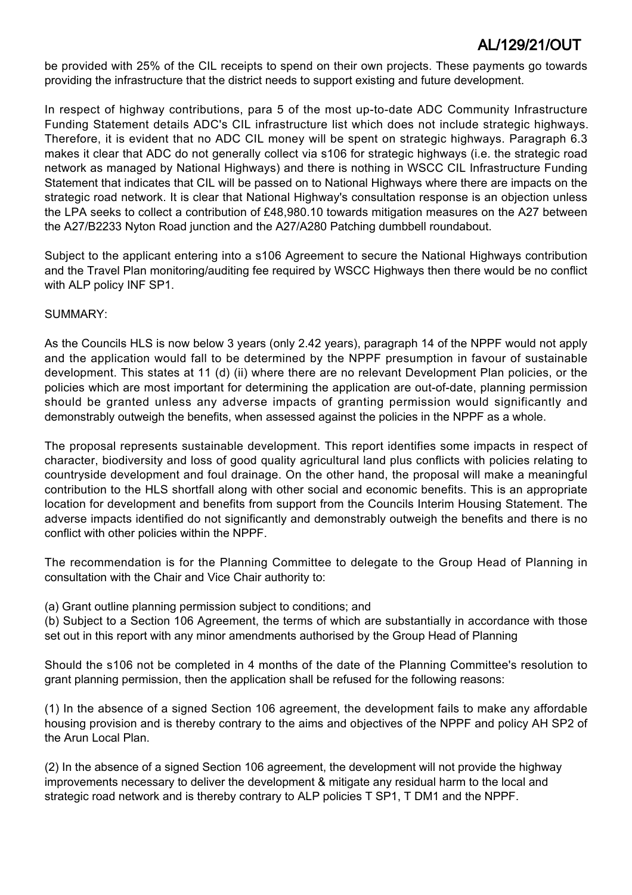be provided with 25% of the CIL receipts to spend on their own projects. These payments go towards providing the infrastructure that the district needs to support existing and future development.

In respect of highway contributions, para 5 of the most up-to-date ADC Community Infrastructure Funding Statement details ADC's CIL infrastructure list which does not include strategic highways. Therefore, it is evident that no ADC CIL money will be spent on strategic highways. Paragraph 6.3 makes it clear that ADC do not generally collect via s106 for strategic highways (i.e. the strategic road network as managed by National Highways) and there is nothing in WSCC CIL Infrastructure Funding Statement that indicates that CIL will be passed on to National Highways where there are impacts on the strategic road network. It is clear that National Highway's consultation response is an objection unless the LPA seeks to collect a contribution of £48,980.10 towards mitigation measures on the A27 between the A27/B2233 Nyton Road junction and the A27/A280 Patching dumbbell roundabout.

Subject to the applicant entering into a s106 Agreement to secure the National Highways contribution and the Travel Plan monitoring/auditing fee required by WSCC Highways then there would be no conflict with ALP policy INF SP1.

#### SUMMARY:

As the Councils HLS is now below 3 years (only 2.42 years), paragraph 14 of the NPPF would not apply and the application would fall to be determined by the NPPF presumption in favour of sustainable development. This states at 11 (d) (ii) where there are no relevant Development Plan policies, or the policies which are most important for determining the application are out-of-date, planning permission should be granted unless any adverse impacts of granting permission would significantly and demonstrably outweigh the benefits, when assessed against the policies in the NPPF as a whole.

The proposal represents sustainable development. This report identifies some impacts in respect of character, biodiversity and loss of good quality agricultural land plus conflicts with policies relating to countryside development and foul drainage. On the other hand, the proposal will make a meaningful contribution to the HLS shortfall along with other social and economic benefits. This is an appropriate location for development and benefits from support from the Councils Interim Housing Statement. The adverse impacts identified do not significantly and demonstrably outweigh the benefits and there is no conflict with other policies within the NPPF.

The recommendation is for the Planning Committee to delegate to the Group Head of Planning in consultation with the Chair and Vice Chair authority to:

(a) Grant outline planning permission subject to conditions; and

(b) Subject to a Section 106 Agreement, the terms of which are substantially in accordance with those set out in this report with any minor amendments authorised by the Group Head of Planning

Should the s106 not be completed in 4 months of the date of the Planning Committee's resolution to grant planning permission, then the application shall be refused for the following reasons:

(1) In the absence of a signed Section 106 agreement, the development fails to make any affordable housing provision and is thereby contrary to the aims and objectives of the NPPF and policy AH SP2 of the Arun Local Plan.

(2) In the absence of a signed Section 106 agreement, the development will not provide the highway improvements necessary to deliver the development & mitigate any residual harm to the local and strategic road network and is thereby contrary to ALP policies T SP1, T DM1 and the NPPF.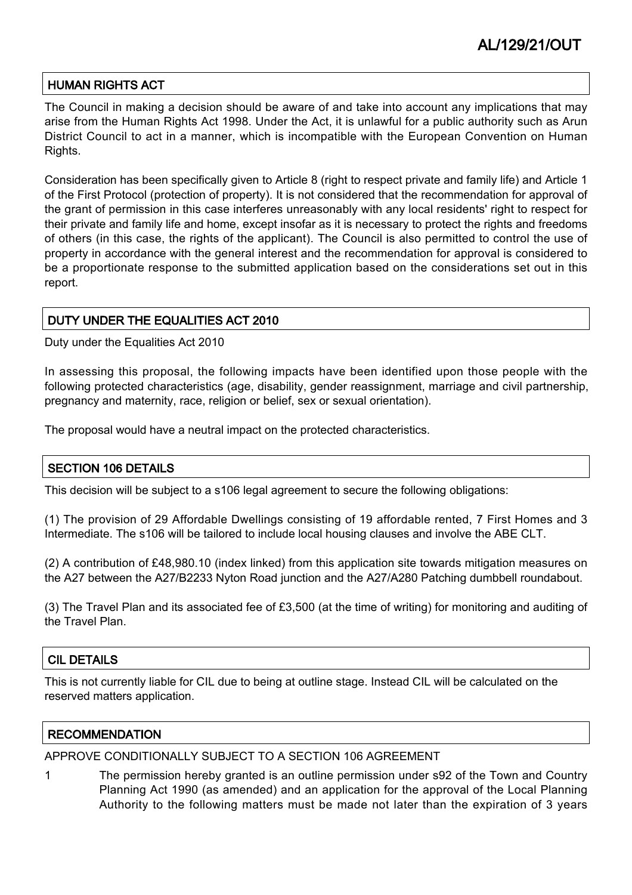### HUMAN RIGHTS ACT

The Council in making a decision should be aware of and take into account any implications that may arise from the Human Rights Act 1998. Under the Act, it is unlawful for a public authority such as Arun District Council to act in a manner, which is incompatible with the European Convention on Human Rights.

Consideration has been specifically given to Article 8 (right to respect private and family life) and Article 1 of the First Protocol (protection of property). It is not considered that the recommendation for approval of the grant of permission in this case interferes unreasonably with any local residents' right to respect for their private and family life and home, except insofar as it is necessary to protect the rights and freedoms of others (in this case, the rights of the applicant). The Council is also permitted to control the use of property in accordance with the general interest and the recommendation for approval is considered to be a proportionate response to the submitted application based on the considerations set out in this report.

### DUTY UNDER THE EQUALITIES ACT 2010

Duty under the Equalities Act 2010

In assessing this proposal, the following impacts have been identified upon those people with the following protected characteristics (age, disability, gender reassignment, marriage and civil partnership, pregnancy and maternity, race, religion or belief, sex or sexual orientation).

The proposal would have a neutral impact on the protected characteristics.

### SECTION 106 DETAILS

This decision will be subject to a s106 legal agreement to secure the following obligations:

(1) The provision of 29 Affordable Dwellings consisting of 19 affordable rented, 7 First Homes and 3 Intermediate. The s106 will be tailored to include local housing clauses and involve the ABE CLT.

(2) A contribution of £48,980.10 (index linked) from this application site towards mitigation measures on the A27 between the A27/B2233 Nyton Road junction and the A27/A280 Patching dumbbell roundabout.

(3) The Travel Plan and its associated fee of £3,500 (at the time of writing) for monitoring and auditing of the Travel Plan.

### CIL DETAILS

This is not currently liable for CIL due to being at outline stage. Instead CIL will be calculated on the reserved matters application.

#### **RECOMMENDATION**

#### APPROVE CONDITIONALLY SUBJECT TO A SECTION 106 AGREEMENT

1 The permission hereby granted is an outline permission under s92 of the Town and Country Planning Act 1990 (as amended) and an application for the approval of the Local Planning Authority to the following matters must be made not later than the expiration of 3 years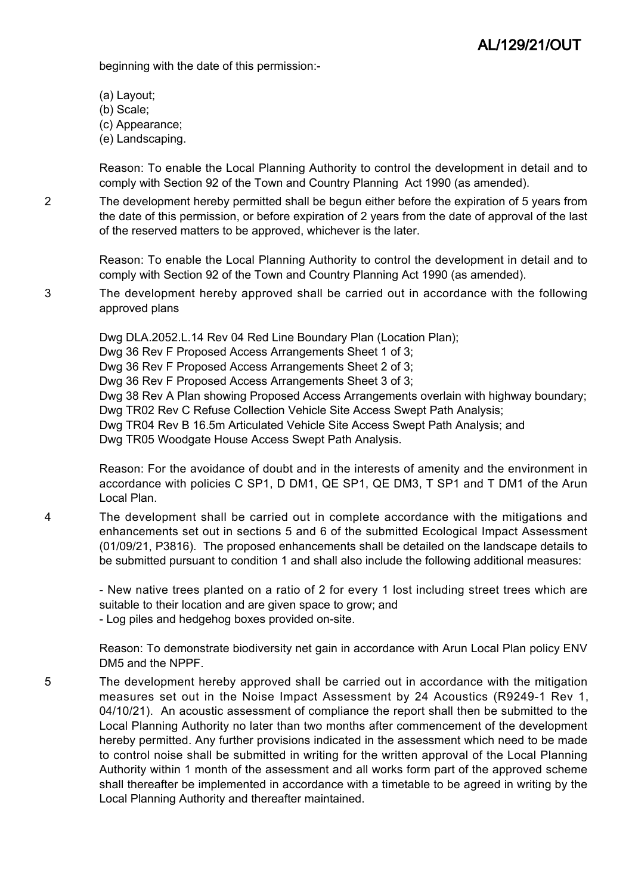beginning with the date of this permission:-

- (a) Layout;
- (b) Scale;
- (c) Appearance;
- (e) Landscaping.

Reason: To enable the Local Planning Authority to control the development in detail and to comply with Section 92 of the Town and Country Planning Act 1990 (as amended).

2 The development hereby permitted shall be begun either before the expiration of 5 years from the date of this permission, or before expiration of 2 years from the date of approval of the last of the reserved matters to be approved, whichever is the later.

> Reason: To enable the Local Planning Authority to control the development in detail and to comply with Section 92 of the Town and Country Planning Act 1990 (as amended).

3 The development hereby approved shall be carried out in accordance with the following approved plans

> Dwg DLA.2052.L.14 Rev 04 Red Line Boundary Plan (Location Plan); Dwg 36 Rev F Proposed Access Arrangements Sheet 1 of 3; Dwg 36 Rev F Proposed Access Arrangements Sheet 2 of 3; Dwg 36 Rev F Proposed Access Arrangements Sheet 3 of 3; Dwg 38 Rev A Plan showing Proposed Access Arrangements overlain with highway boundary; Dwg TR02 Rev C Refuse Collection Vehicle Site Access Swept Path Analysis; Dwg TR04 Rev B 16.5m Articulated Vehicle Site Access Swept Path Analysis; and Dwg TR05 Woodgate House Access Swept Path Analysis.

> Reason: For the avoidance of doubt and in the interests of amenity and the environment in accordance with policies C SP1, D DM1, QE SP1, QE DM3, T SP1 and T DM1 of the Arun Local Plan.

4 The development shall be carried out in complete accordance with the mitigations and enhancements set out in sections 5 and 6 of the submitted Ecological Impact Assessment (01/09/21, P3816). The proposed enhancements shall be detailed on the landscape details to be submitted pursuant to condition 1 and shall also include the following additional measures:

- New native trees planted on a ratio of 2 for every 1 lost including street trees which are suitable to their location and are given space to grow; and - Log piles and hedgehog boxes provided on-site.

Reason: To demonstrate biodiversity net gain in accordance with Arun Local Plan policy ENV DM5 and the NPPF.

5 The development hereby approved shall be carried out in accordance with the mitigation measures set out in the Noise Impact Assessment by 24 Acoustics (R9249-1 Rev 1, 04/10/21). An acoustic assessment of compliance the report shall then be submitted to the Local Planning Authority no later than two months after commencement of the development hereby permitted. Any further provisions indicated in the assessment which need to be made to control noise shall be submitted in writing for the written approval of the Local Planning Authority within 1 month of the assessment and all works form part of the approved scheme shall thereafter be implemented in accordance with a timetable to be agreed in writing by the Local Planning Authority and thereafter maintained.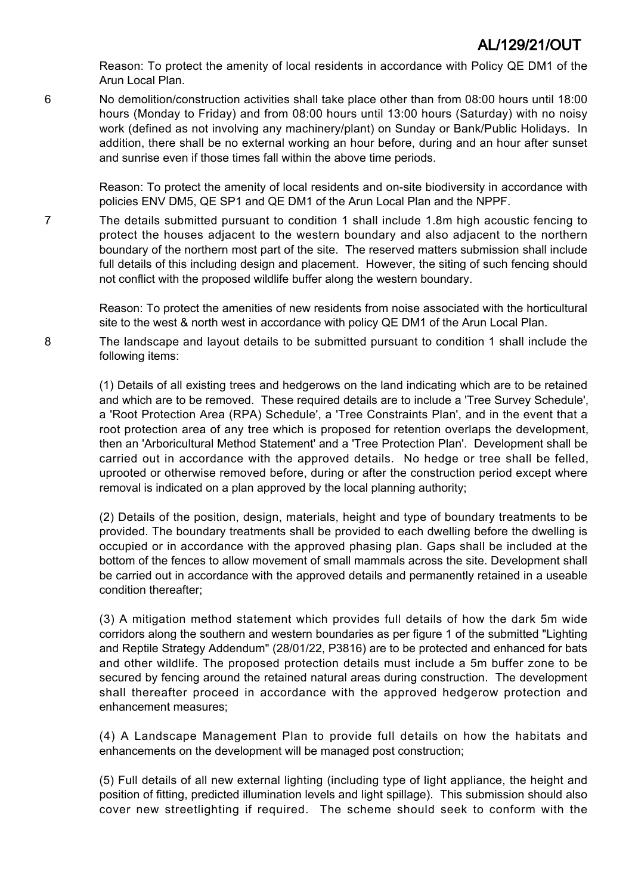Reason: To protect the amenity of local residents in accordance with Policy QE DM1 of the Arun Local Plan.

6 No demolition/construction activities shall take place other than from 08:00 hours until 18:00 hours (Monday to Friday) and from 08:00 hours until 13:00 hours (Saturday) with no noisy work (defined as not involving any machinery/plant) on Sunday or Bank/Public Holidays. In addition, there shall be no external working an hour before, during and an hour after sunset and sunrise even if those times fall within the above time periods.

> Reason: To protect the amenity of local residents and on-site biodiversity in accordance with policies ENV DM5, QE SP1 and QE DM1 of the Arun Local Plan and the NPPF.

7 The details submitted pursuant to condition 1 shall include 1.8m high acoustic fencing to protect the houses adjacent to the western boundary and also adjacent to the northern boundary of the northern most part of the site. The reserved matters submission shall include full details of this including design and placement. However, the siting of such fencing should not conflict with the proposed wildlife buffer along the western boundary.

> Reason: To protect the amenities of new residents from noise associated with the horticultural site to the west & north west in accordance with policy QE DM1 of the Arun Local Plan.

8 The landscape and layout details to be submitted pursuant to condition 1 shall include the following items:

> (1) Details of all existing trees and hedgerows on the land indicating which are to be retained and which are to be removed. These required details are to include a 'Tree Survey Schedule', a 'Root Protection Area (RPA) Schedule', a 'Tree Constraints Plan', and in the event that a root protection area of any tree which is proposed for retention overlaps the development, then an 'Arboricultural Method Statement' and a 'Tree Protection Plan'. Development shall be carried out in accordance with the approved details. No hedge or tree shall be felled, uprooted or otherwise removed before, during or after the construction period except where removal is indicated on a plan approved by the local planning authority;

> (2) Details of the position, design, materials, height and type of boundary treatments to be provided. The boundary treatments shall be provided to each dwelling before the dwelling is occupied or in accordance with the approved phasing plan. Gaps shall be included at the bottom of the fences to allow movement of small mammals across the site. Development shall be carried out in accordance with the approved details and permanently retained in a useable condition thereafter;

> (3) A mitigation method statement which provides full details of how the dark 5m wide corridors along the southern and western boundaries as per figure 1 of the submitted "Lighting and Reptile Strategy Addendum" (28/01/22, P3816) are to be protected and enhanced for bats and other wildlife. The proposed protection details must include a 5m buffer zone to be secured by fencing around the retained natural areas during construction. The development shall thereafter proceed in accordance with the approved hedgerow protection and enhancement measures;

> (4) A Landscape Management Plan to provide full details on how the habitats and enhancements on the development will be managed post construction;

> (5) Full details of all new external lighting (including type of light appliance, the height and position of fitting, predicted illumination levels and light spillage). This submission should also cover new streetlighting if required. The scheme should seek to conform with the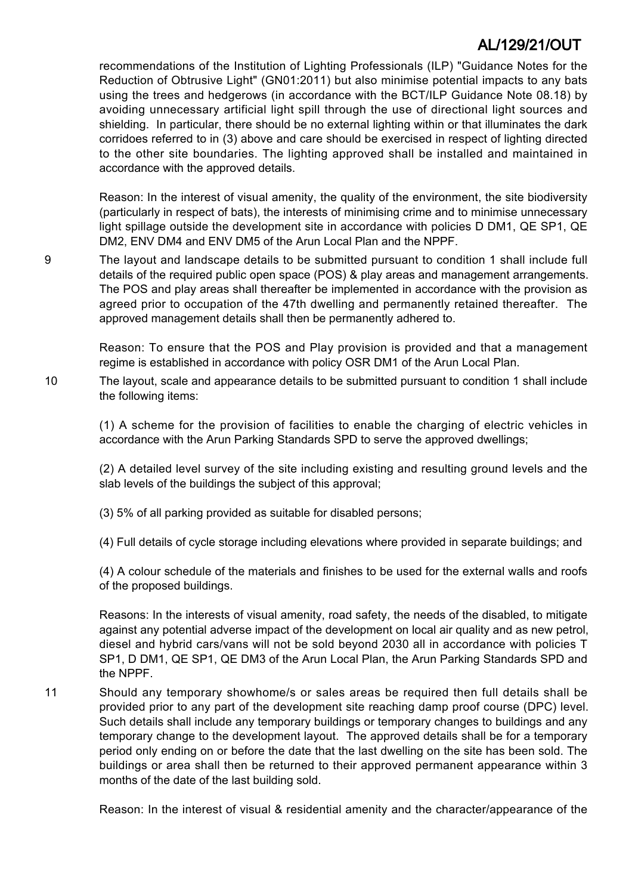recommendations of the Institution of Lighting Professionals (ILP) "Guidance Notes for the Reduction of Obtrusive Light" (GN01:2011) but also minimise potential impacts to any bats using the trees and hedgerows (in accordance with the BCT/ILP Guidance Note 08.18) by avoiding unnecessary artificial light spill through the use of directional light sources and shielding. In particular, there should be no external lighting within or that illuminates the dark corridoes referred to in (3) above and care should be exercised in respect of lighting directed to the other site boundaries. The lighting approved shall be installed and maintained in accordance with the approved details.

Reason: In the interest of visual amenity, the quality of the environment, the site biodiversity (particularly in respect of bats), the interests of minimising crime and to minimise unnecessary light spillage outside the development site in accordance with policies D DM1, QE SP1, QE DM2, ENV DM4 and ENV DM5 of the Arun Local Plan and the NPPF.

9 The layout and landscape details to be submitted pursuant to condition 1 shall include full details of the required public open space (POS) & play areas and management arrangements. The POS and play areas shall thereafter be implemented in accordance with the provision as agreed prior to occupation of the 47th dwelling and permanently retained thereafter. The approved management details shall then be permanently adhered to.

> Reason: To ensure that the POS and Play provision is provided and that a management regime is established in accordance with policy OSR DM1 of the Arun Local Plan.

10 The layout, scale and appearance details to be submitted pursuant to condition 1 shall include the following items:

(1) A scheme for the provision of facilities to enable the charging of electric vehicles in accordance with the Arun Parking Standards SPD to serve the approved dwellings;

(2) A detailed level survey of the site including existing and resulting ground levels and the slab levels of the buildings the subject of this approval;

(3) 5% of all parking provided as suitable for disabled persons;

(4) Full details of cycle storage including elevations where provided in separate buildings; and

(4) A colour schedule of the materials and finishes to be used for the external walls and roofs of the proposed buildings.

Reasons: In the interests of visual amenity, road safety, the needs of the disabled, to mitigate against any potential adverse impact of the development on local air quality and as new petrol, diesel and hybrid cars/vans will not be sold beyond 2030 all in accordance with policies T SP1, D DM1, QE SP1, QE DM3 of the Arun Local Plan, the Arun Parking Standards SPD and the NPPF.

11 Should any temporary showhome/s or sales areas be required then full details shall be provided prior to any part of the development site reaching damp proof course (DPC) level. Such details shall include any temporary buildings or temporary changes to buildings and any temporary change to the development layout. The approved details shall be for a temporary period only ending on or before the date that the last dwelling on the site has been sold. The buildings or area shall then be returned to their approved permanent appearance within 3 months of the date of the last building sold.

Reason: In the interest of visual & residential amenity and the character/appearance of the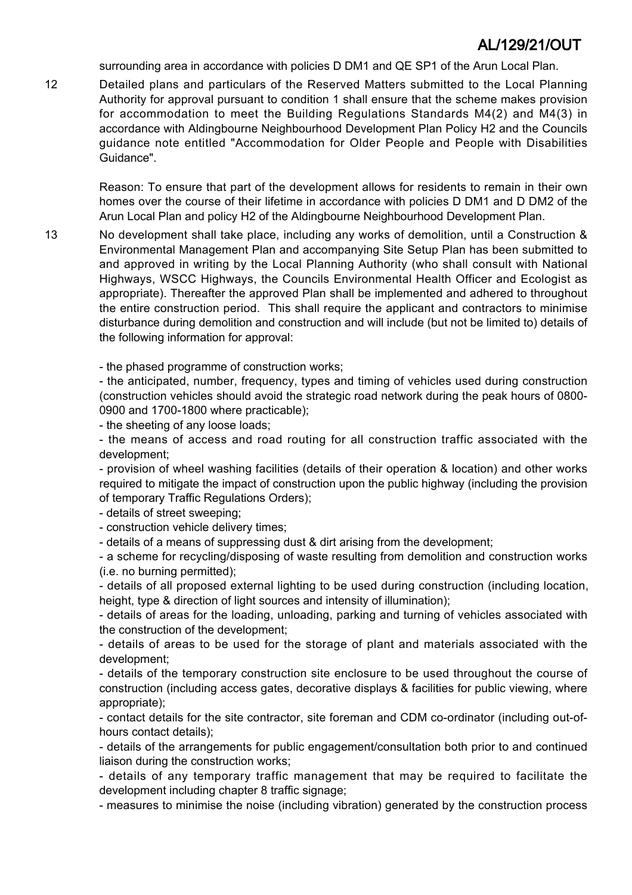surrounding area in accordance with policies D DM1 and QE SP1 of the Arun Local Plan.

12 Detailed plans and particulars of the Reserved Matters submitted to the Local Planning Authority for approval pursuant to condition 1 shall ensure that the scheme makes provision for accommodation to meet the Building Regulations Standards M4(2) and M4(3) in accordance with Aldingbourne Neighbourhood Development Plan Policy H2 and the Councils guidance note entitled "Accommodation for Older People and People with Disabilities Guidance".

Reason: To ensure that part of the development allows for residents to remain in their own homes over the course of their lifetime in accordance with policies D DM1 and D DM2 of the Arun Local Plan and policy H2 of the Aldingbourne Neighbourhood Development Plan.

13 No development shall take place, including any works of demolition, until a Construction & Environmental Management Plan and accompanying Site Setup Plan has been submitted to and approved in writing by the Local Planning Authority (who shall consult with National Highways, WSCC Highways, the Councils Environmental Health Officer and Ecologist as appropriate). Thereafter the approved Plan shall be implemented and adhered to throughout the entire construction period. This shall require the applicant and contractors to minimise disturbance during demolition and construction and will include (but not be limited to) details of the following information for approval:

- the phased programme of construction works;

- the anticipated, number, frequency, types and timing of vehicles used during construction (construction vehicles should avoid the strategic road network during the peak hours of 0800- 0900 and 1700-1800 where practicable);

- the sheeting of any loose loads;

- the means of access and road routing for all construction traffic associated with the development;

- provision of wheel washing facilities (details of their operation & location) and other works required to mitigate the impact of construction upon the public highway (including the provision of temporary Traffic Regulations Orders);

- details of street sweeping;

- construction vehicle delivery times;

- details of a means of suppressing dust & dirt arising from the development;

- a scheme for recycling/disposing of waste resulting from demolition and construction works (i.e. no burning permitted);

- details of all proposed external lighting to be used during construction (including location, height, type & direction of light sources and intensity of illumination);

- details of areas for the loading, unloading, parking and turning of vehicles associated with the construction of the development;

- details of areas to be used for the storage of plant and materials associated with the development;

- details of the temporary construction site enclosure to be used throughout the course of construction (including access gates, decorative displays & facilities for public viewing, where appropriate);

- contact details for the site contractor, site foreman and CDM co-ordinator (including out-ofhours contact details);

- details of the arrangements for public engagement/consultation both prior to and continued liaison during the construction works;

- details of any temporary traffic management that may be required to facilitate the development including chapter 8 traffic signage;

- measures to minimise the noise (including vibration) generated by the construction process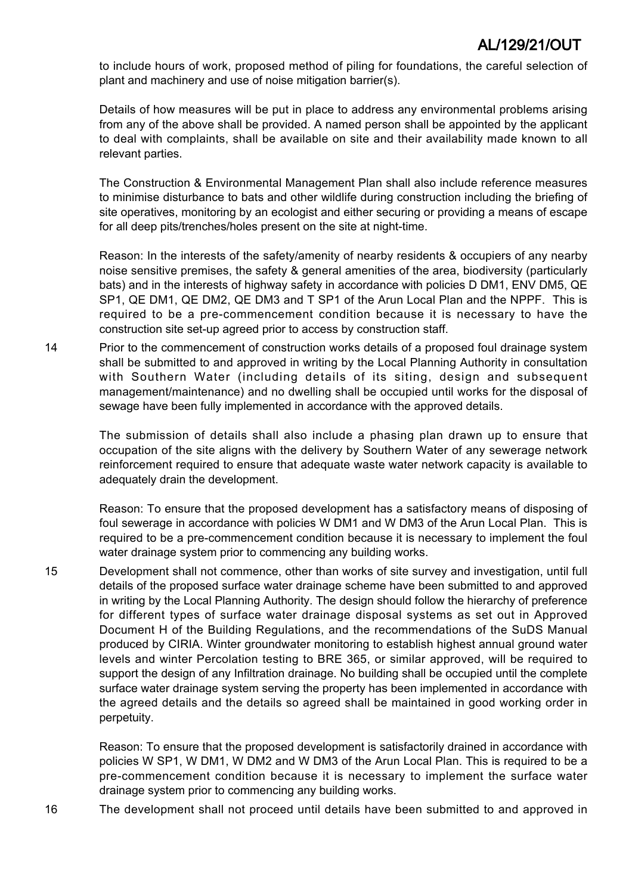to include hours of work, proposed method of piling for foundations, the careful selection of plant and machinery and use of noise mitigation barrier(s).

Details of how measures will be put in place to address any environmental problems arising from any of the above shall be provided. A named person shall be appointed by the applicant to deal with complaints, shall be available on site and their availability made known to all relevant parties.

The Construction & Environmental Management Plan shall also include reference measures to minimise disturbance to bats and other wildlife during construction including the briefing of site operatives, monitoring by an ecologist and either securing or providing a means of escape for all deep pits/trenches/holes present on the site at night-time.

Reason: In the interests of the safety/amenity of nearby residents & occupiers of any nearby noise sensitive premises, the safety & general amenities of the area, biodiversity (particularly bats) and in the interests of highway safety in accordance with policies D DM1, ENV DM5, QE SP1, QE DM1, QE DM2, QE DM3 and T SP1 of the Arun Local Plan and the NPPF. This is required to be a pre-commencement condition because it is necessary to have the construction site set-up agreed prior to access by construction staff.

14 Prior to the commencement of construction works details of a proposed foul drainage system shall be submitted to and approved in writing by the Local Planning Authority in consultation with Southern Water (including details of its siting, design and subsequent management/maintenance) and no dwelling shall be occupied until works for the disposal of sewage have been fully implemented in accordance with the approved details.

The submission of details shall also include a phasing plan drawn up to ensure that occupation of the site aligns with the delivery by Southern Water of any sewerage network reinforcement required to ensure that adequate waste water network capacity is available to adequately drain the development.

Reason: To ensure that the proposed development has a satisfactory means of disposing of foul sewerage in accordance with policies W DM1 and W DM3 of the Arun Local Plan. This is required to be a pre-commencement condition because it is necessary to implement the foul water drainage system prior to commencing any building works.

15 Development shall not commence, other than works of site survey and investigation, until full details of the proposed surface water drainage scheme have been submitted to and approved in writing by the Local Planning Authority. The design should follow the hierarchy of preference for different types of surface water drainage disposal systems as set out in Approved Document H of the Building Regulations, and the recommendations of the SuDS Manual produced by CIRIA. Winter groundwater monitoring to establish highest annual ground water levels and winter Percolation testing to BRE 365, or similar approved, will be required to support the design of any Infiltration drainage. No building shall be occupied until the complete surface water drainage system serving the property has been implemented in accordance with the agreed details and the details so agreed shall be maintained in good working order in perpetuity.

Reason: To ensure that the proposed development is satisfactorily drained in accordance with policies W SP1, W DM1, W DM2 and W DM3 of the Arun Local Plan. This is required to be a pre-commencement condition because it is necessary to implement the surface water drainage system prior to commencing any building works.

16 The development shall not proceed until details have been submitted to and approved in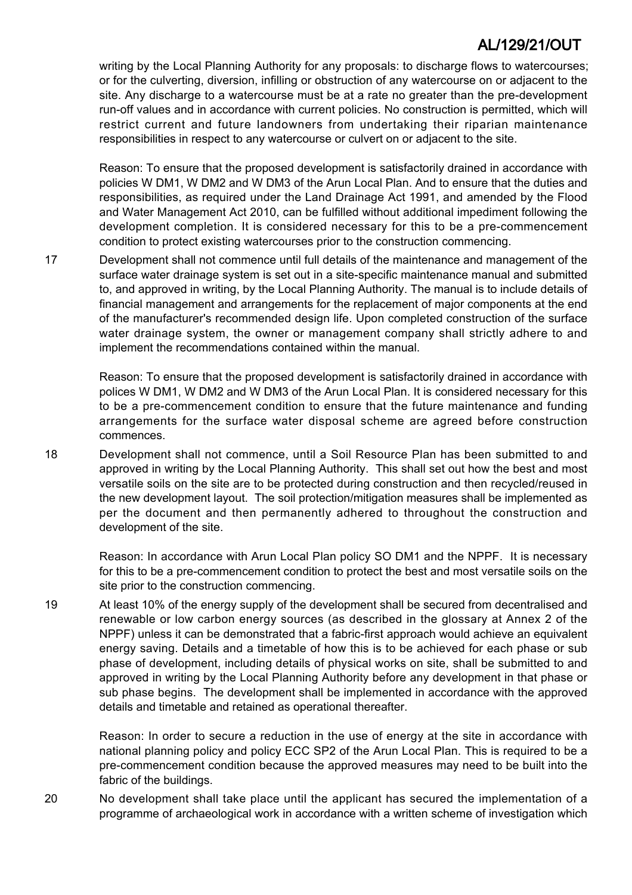writing by the Local Planning Authority for any proposals: to discharge flows to watercourses; or for the culverting, diversion, infilling or obstruction of any watercourse on or adjacent to the site. Any discharge to a watercourse must be at a rate no greater than the pre-development run-off values and in accordance with current policies. No construction is permitted, which will restrict current and future landowners from undertaking their riparian maintenance responsibilities in respect to any watercourse or culvert on or adjacent to the site.

Reason: To ensure that the proposed development is satisfactorily drained in accordance with policies W DM1, W DM2 and W DM3 of the Arun Local Plan. And to ensure that the duties and responsibilities, as required under the Land Drainage Act 1991, and amended by the Flood and Water Management Act 2010, can be fulfilled without additional impediment following the development completion. It is considered necessary for this to be a pre-commencement condition to protect existing watercourses prior to the construction commencing.

17 Development shall not commence until full details of the maintenance and management of the surface water drainage system is set out in a site-specific maintenance manual and submitted to, and approved in writing, by the Local Planning Authority. The manual is to include details of financial management and arrangements for the replacement of major components at the end of the manufacturer's recommended design life. Upon completed construction of the surface water drainage system, the owner or management company shall strictly adhere to and implement the recommendations contained within the manual.

Reason: To ensure that the proposed development is satisfactorily drained in accordance with polices W DM1, W DM2 and W DM3 of the Arun Local Plan. It is considered necessary for this to be a pre-commencement condition to ensure that the future maintenance and funding arrangements for the surface water disposal scheme are agreed before construction commences.

18 Development shall not commence, until a Soil Resource Plan has been submitted to and approved in writing by the Local Planning Authority. This shall set out how the best and most versatile soils on the site are to be protected during construction and then recycled/reused in the new development layout. The soil protection/mitigation measures shall be implemented as per the document and then permanently adhered to throughout the construction and development of the site.

Reason: In accordance with Arun Local Plan policy SO DM1 and the NPPF. It is necessary for this to be a pre-commencement condition to protect the best and most versatile soils on the site prior to the construction commencing.

19 At least 10% of the energy supply of the development shall be secured from decentralised and renewable or low carbon energy sources (as described in the glossary at Annex 2 of the NPPF) unless it can be demonstrated that a fabric-first approach would achieve an equivalent energy saving. Details and a timetable of how this is to be achieved for each phase or sub phase of development, including details of physical works on site, shall be submitted to and approved in writing by the Local Planning Authority before any development in that phase or sub phase begins. The development shall be implemented in accordance with the approved details and timetable and retained as operational thereafter.

Reason: In order to secure a reduction in the use of energy at the site in accordance with national planning policy and policy ECC SP2 of the Arun Local Plan. This is required to be a pre-commencement condition because the approved measures may need to be built into the fabric of the buildings.

20 No development shall take place until the applicant has secured the implementation of a programme of archaeological work in accordance with a written scheme of investigation which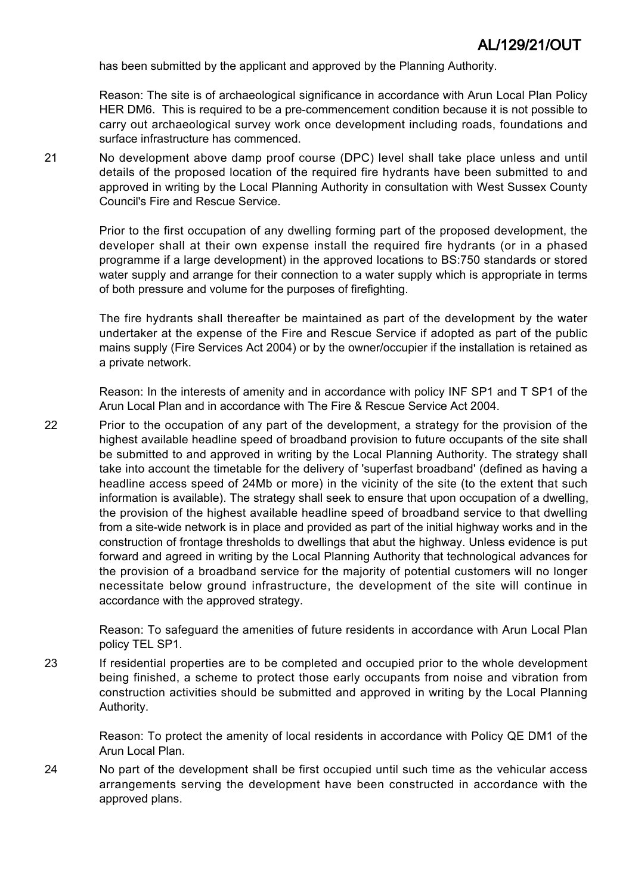has been submitted by the applicant and approved by the Planning Authority.

Reason: The site is of archaeological significance in accordance with Arun Local Plan Policy HER DM6. This is required to be a pre-commencement condition because it is not possible to carry out archaeological survey work once development including roads, foundations and surface infrastructure has commenced.

21 No development above damp proof course (DPC) level shall take place unless and until details of the proposed location of the required fire hydrants have been submitted to and approved in writing by the Local Planning Authority in consultation with West Sussex County Council's Fire and Rescue Service.

> Prior to the first occupation of any dwelling forming part of the proposed development, the developer shall at their own expense install the required fire hydrants (or in a phased programme if a large development) in the approved locations to BS:750 standards or stored water supply and arrange for their connection to a water supply which is appropriate in terms of both pressure and volume for the purposes of firefighting.

> The fire hydrants shall thereafter be maintained as part of the development by the water undertaker at the expense of the Fire and Rescue Service if adopted as part of the public mains supply (Fire Services Act 2004) or by the owner/occupier if the installation is retained as a private network.

> Reason: In the interests of amenity and in accordance with policy INF SP1 and T SP1 of the Arun Local Plan and in accordance with The Fire & Rescue Service Act 2004.

22 Prior to the occupation of any part of the development, a strategy for the provision of the highest available headline speed of broadband provision to future occupants of the site shall be submitted to and approved in writing by the Local Planning Authority. The strategy shall take into account the timetable for the delivery of 'superfast broadband' (defined as having a headline access speed of 24Mb or more) in the vicinity of the site (to the extent that such information is available). The strategy shall seek to ensure that upon occupation of a dwelling, the provision of the highest available headline speed of broadband service to that dwelling from a site-wide network is in place and provided as part of the initial highway works and in the construction of frontage thresholds to dwellings that abut the highway. Unless evidence is put forward and agreed in writing by the Local Planning Authority that technological advances for the provision of a broadband service for the majority of potential customers will no longer necessitate below ground infrastructure, the development of the site will continue in accordance with the approved strategy.

> Reason: To safeguard the amenities of future residents in accordance with Arun Local Plan policy TEL SP1.

23 If residential properties are to be completed and occupied prior to the whole development being finished, a scheme to protect those early occupants from noise and vibration from construction activities should be submitted and approved in writing by the Local Planning Authority.

> Reason: To protect the amenity of local residents in accordance with Policy QE DM1 of the Arun Local Plan.

24 No part of the development shall be first occupied until such time as the vehicular access arrangements serving the development have been constructed in accordance with the approved plans.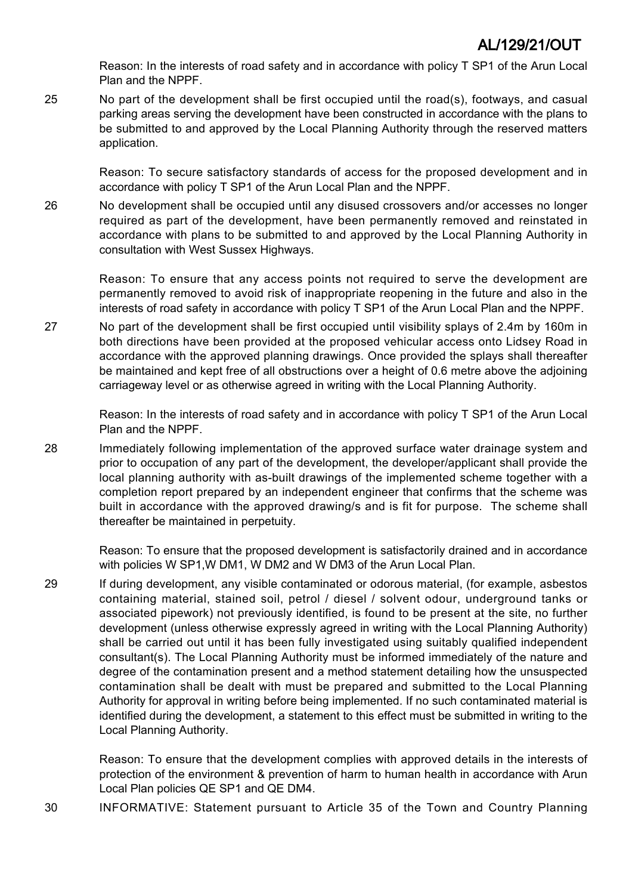Reason: In the interests of road safety and in accordance with policy T SP1 of the Arun Local Plan and the NPPF.

25 No part of the development shall be first occupied until the road(s), footways, and casual parking areas serving the development have been constructed in accordance with the plans to be submitted to and approved by the Local Planning Authority through the reserved matters application.

> Reason: To secure satisfactory standards of access for the proposed development and in accordance with policy T SP1 of the Arun Local Plan and the NPPF.

26 No development shall be occupied until any disused crossovers and/or accesses no longer required as part of the development, have been permanently removed and reinstated in accordance with plans to be submitted to and approved by the Local Planning Authority in consultation with West Sussex Highways.

> Reason: To ensure that any access points not required to serve the development are permanently removed to avoid risk of inappropriate reopening in the future and also in the interests of road safety in accordance with policy T SP1 of the Arun Local Plan and the NPPF.

27 No part of the development shall be first occupied until visibility splays of 2.4m by 160m in both directions have been provided at the proposed vehicular access onto Lidsey Road in accordance with the approved planning drawings. Once provided the splays shall thereafter be maintained and kept free of all obstructions over a height of 0.6 metre above the adjoining carriageway level or as otherwise agreed in writing with the Local Planning Authority.

> Reason: In the interests of road safety and in accordance with policy T SP1 of the Arun Local Plan and the NPPF.

28 Immediately following implementation of the approved surface water drainage system and prior to occupation of any part of the development, the developer/applicant shall provide the local planning authority with as-built drawings of the implemented scheme together with a completion report prepared by an independent engineer that confirms that the scheme was built in accordance with the approved drawing/s and is fit for purpose. The scheme shall thereafter be maintained in perpetuity.

Reason: To ensure that the proposed development is satisfactorily drained and in accordance with policies W SP1,W DM1, W DM2 and W DM3 of the Arun Local Plan.

29 If during development, any visible contaminated or odorous material, (for example, asbestos containing material, stained soil, petrol / diesel / solvent odour, underground tanks or associated pipework) not previously identified, is found to be present at the site, no further development (unless otherwise expressly agreed in writing with the Local Planning Authority) shall be carried out until it has been fully investigated using suitably qualified independent consultant(s). The Local Planning Authority must be informed immediately of the nature and degree of the contamination present and a method statement detailing how the unsuspected contamination shall be dealt with must be prepared and submitted to the Local Planning Authority for approval in writing before being implemented. If no such contaminated material is identified during the development, a statement to this effect must be submitted in writing to the Local Planning Authority.

Reason: To ensure that the development complies with approved details in the interests of protection of the environment & prevention of harm to human health in accordance with Arun Local Plan policies QE SP1 and QE DM4.

30 INFORMATIVE: Statement pursuant to Article 35 of the Town and Country Planning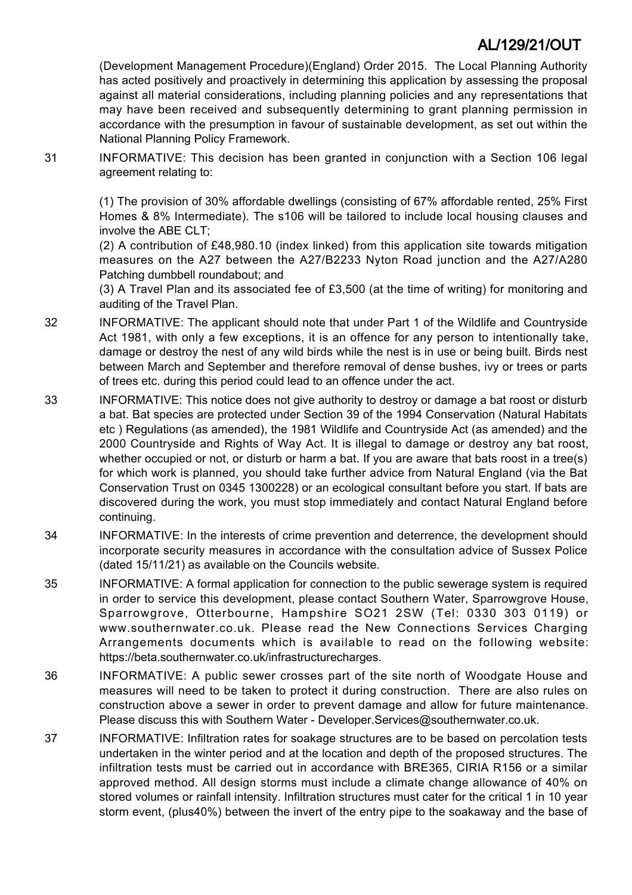(Development Management Procedure)(England) Order 2015. The Local Planning Authority has acted positively and proactively in determining this application by assessing the proposal against all material considerations, including planning policies and any representations that may have been received and subsequently determining to grant planning permission in accordance with the presumption in favour of sustainable development, as set out within the National Planning Policy Framework.

31 INFORMATIVE: This decision has been granted in conjunction with a Section 106 legal agreement relating to:

> (1) The provision of 30% affordable dwellings (consisting of 67% affordable rented, 25% First Homes & 8% Intermediate). The s106 will be tailored to include local housing clauses and involve the ABE CLT;

> (2) A contribution of £48,980.10 (index linked) from this application site towards mitigation measures on the A27 between the A27/B2233 Nyton Road junction and the A27/A280 Patching dumbbell roundabout; and

> (3) A Travel Plan and its associated fee of £3,500 (at the time of writing) for monitoring and auditing of the Travel Plan.

- 32 INFORMATIVE: The applicant should note that under Part 1 of the Wildlife and Countryside Act 1981, with only a few exceptions, it is an offence for any person to intentionally take, damage or destroy the nest of any wild birds while the nest is in use or being built. Birds nest between March and September and therefore removal of dense bushes, ivy or trees or parts of trees etc. during this period could lead to an offence under the act.
- 33 INFORMATIVE: This notice does not give authority to destroy or damage a bat roost or disturb a bat. Bat species are protected under Section 39 of the 1994 Conservation (Natural Habitats etc ) Regulations (as amended), the 1981 Wildlife and Countryside Act (as amended) and the 2000 Countryside and Rights of Way Act. It is illegal to damage or destroy any bat roost, whether occupied or not, or disturb or harm a bat. If you are aware that bats roost in a tree(s) for which work is planned, you should take further advice from Natural England (via the Bat Conservation Trust on 0345 1300228) or an ecological consultant before you start. If bats are discovered during the work, you must stop immediately and contact Natural England before continuing.
- 34 INFORMATIVE: In the interests of crime prevention and deterrence, the development should incorporate security measures in accordance with the consultation advice of Sussex Police (dated 15/11/21) as available on the Councils website.
- 35 INFORMATIVE: A formal application for connection to the public sewerage system is required in order to service this development, please contact Southern Water, Sparrowgrove House, Sparrowgrove, Otterbourne, Hampshire SO21 2SW (Tel: 0330 303 0119) or www.southernwater.co.uk. Please read the New Connections Services Charging Arrangements documents which is available to read on the following website: https://beta.southernwater.co.uk/infrastructurecharges.
- 36 INFORMATIVE: A public sewer crosses part of the site north of Woodgate House and measures will need to be taken to protect it during construction. There are also rules on construction above a sewer in order to prevent damage and allow for future maintenance. Please discuss this with Southern Water - Developer.Services@southernwater.co.uk.
- 37 INFORMATIVE: Infiltration rates for soakage structures are to be based on percolation tests undertaken in the winter period and at the location and depth of the proposed structures. The infiltration tests must be carried out in accordance with BRE365, CIRIA R156 or a similar approved method. All design storms must include a climate change allowance of 40% on stored volumes or rainfall intensity. Infiltration structures must cater for the critical 1 in 10 year storm event, (plus40%) between the invert of the entry pipe to the soakaway and the base of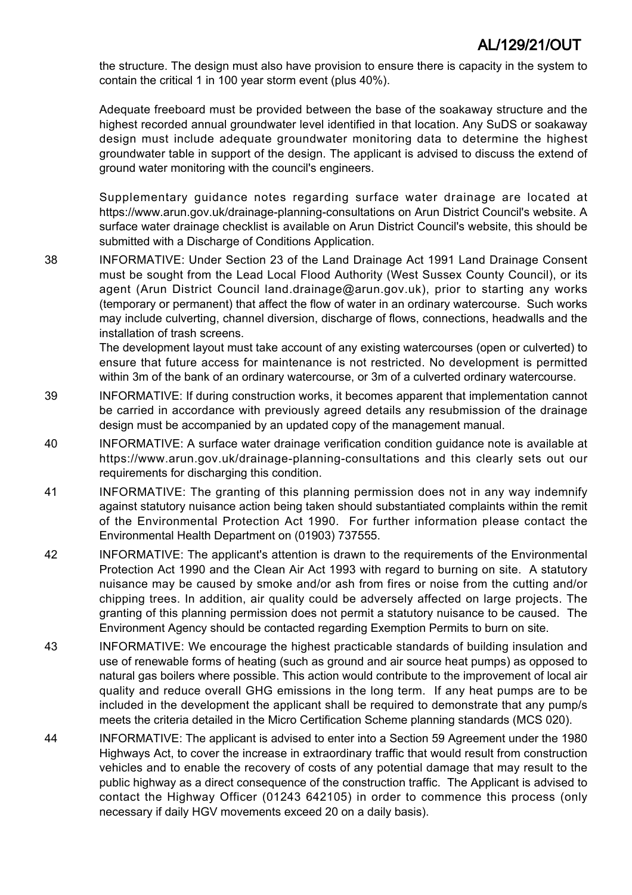the structure. The design must also have provision to ensure there is capacity in the system to contain the critical 1 in 100 year storm event (plus 40%).

Adequate freeboard must be provided between the base of the soakaway structure and the highest recorded annual groundwater level identified in that location. Any SuDS or soakaway design must include adequate groundwater monitoring data to determine the highest groundwater table in support of the design. The applicant is advised to discuss the extend of ground water monitoring with the council's engineers.

Supplementary guidance notes regarding surface water drainage are located at https://www.arun.gov.uk/drainage-planning-consultations on Arun District Council's website. A surface water drainage checklist is available on Arun District Council's website, this should be submitted with a Discharge of Conditions Application.

38 INFORMATIVE: Under Section 23 of the Land Drainage Act 1991 Land Drainage Consent must be sought from the Lead Local Flood Authority (West Sussex County Council), or its agent (Arun District Council land.drainage@arun.gov.uk), prior to starting any works (temporary or permanent) that affect the flow of water in an ordinary watercourse. Such works may include culverting, channel diversion, discharge of flows, connections, headwalls and the installation of trash screens.

> The development layout must take account of any existing watercourses (open or culverted) to ensure that future access for maintenance is not restricted. No development is permitted within 3m of the bank of an ordinary watercourse, or 3m of a culverted ordinary watercourse.

- 39 INFORMATIVE: If during construction works, it becomes apparent that implementation cannot be carried in accordance with previously agreed details any resubmission of the drainage design must be accompanied by an updated copy of the management manual.
- 40 INFORMATIVE: A surface water drainage verification condition guidance note is available at https://www.arun.gov.uk/drainage-planning-consultations and this clearly sets out our requirements for discharging this condition.
- 41 INFORMATIVE: The granting of this planning permission does not in any way indemnify against statutory nuisance action being taken should substantiated complaints within the remit of the Environmental Protection Act 1990. For further information please contact the Environmental Health Department on (01903) 737555.
- 42 INFORMATIVE: The applicant's attention is drawn to the requirements of the Environmental Protection Act 1990 and the Clean Air Act 1993 with regard to burning on site. A statutory nuisance may be caused by smoke and/or ash from fires or noise from the cutting and/or chipping trees. In addition, air quality could be adversely affected on large projects. The granting of this planning permission does not permit a statutory nuisance to be caused. The Environment Agency should be contacted regarding Exemption Permits to burn on site.
- 43 INFORMATIVE: We encourage the highest practicable standards of building insulation and use of renewable forms of heating (such as ground and air source heat pumps) as opposed to natural gas boilers where possible. This action would contribute to the improvement of local air quality and reduce overall GHG emissions in the long term. If any heat pumps are to be included in the development the applicant shall be required to demonstrate that any pump/s meets the criteria detailed in the Micro Certification Scheme planning standards (MCS 020).
- 44 INFORMATIVE: The applicant is advised to enter into a Section 59 Agreement under the 1980 Highways Act, to cover the increase in extraordinary traffic that would result from construction vehicles and to enable the recovery of costs of any potential damage that may result to the public highway as a direct consequence of the construction traffic. The Applicant is advised to contact the Highway Officer (01243 642105) in order to commence this process (only necessary if daily HGV movements exceed 20 on a daily basis).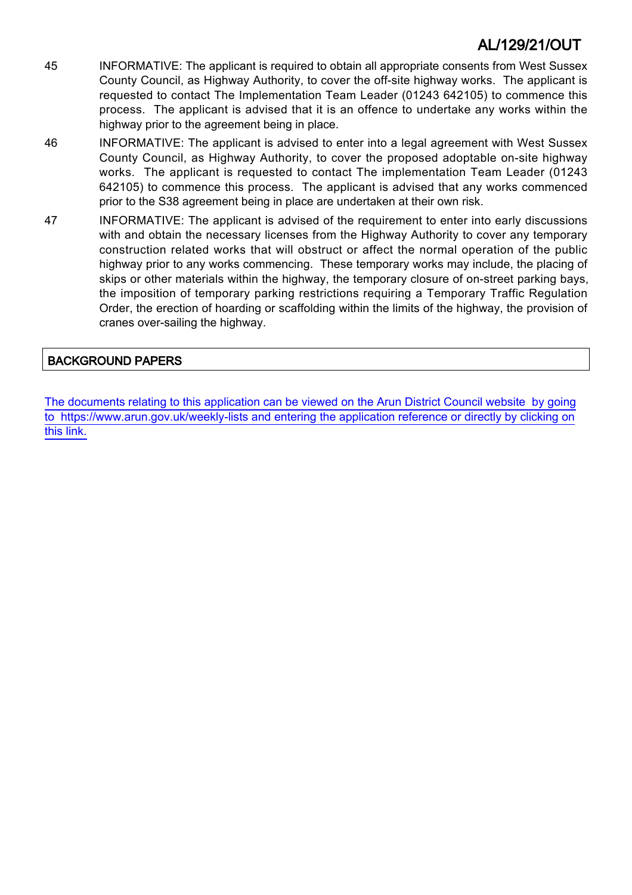- 45 INFORMATIVE: The applicant is required to obtain all appropriate consents from West Sussex County Council, as Highway Authority, to cover the off-site highway works. The applicant is requested to contact The Implementation Team Leader (01243 642105) to commence this process. The applicant is advised that it is an offence to undertake any works within the highway prior to the agreement being in place.
- 46 INFORMATIVE: The applicant is advised to enter into a legal agreement with West Sussex County Council, as Highway Authority, to cover the proposed adoptable on-site highway works. The applicant is requested to contact The implementation Team Leader (01243 642105) to commence this process. The applicant is advised that any works commenced prior to the S38 agreement being in place are undertaken at their own risk.
- 47 INFORMATIVE: The applicant is advised of the requirement to enter into early discussions with and obtain the necessary licenses from the Highway Authority to cover any temporary construction related works that will obstruct or affect the normal operation of the public highway prior to any works commencing. These temporary works may include, the placing of skips or other materials within the highway, the temporary closure of on-street parking bays, the imposition of temporary parking restrictions requiring a Temporary Traffic Regulation Order, the erection of hoarding or scaffolding within the limits of the highway, the provision of cranes over-sailing the highway.

### BACKGROUND PAPERS

[The documents relating to this application can be viewed on the Arun District Council website by going](http://www1.arun.gov.uk/planrec/index.cfm?tpkey=eOcella&user_key_1=AL/129/21/OUT&keyscheme=planning) [to https://www.arun.gov.uk/weekly-lists and entering the application reference or directly by clicking on](http://www1.arun.gov.uk/planrec/index.cfm?tpkey=eOcella&user_key_1=AL/129/21/OUT&keyscheme=planning) [this link.](http://www1.arun.gov.uk/planrec/index.cfm?tpkey=eOcella&user_key_1=AL/129/21/OUT&keyscheme=planning)